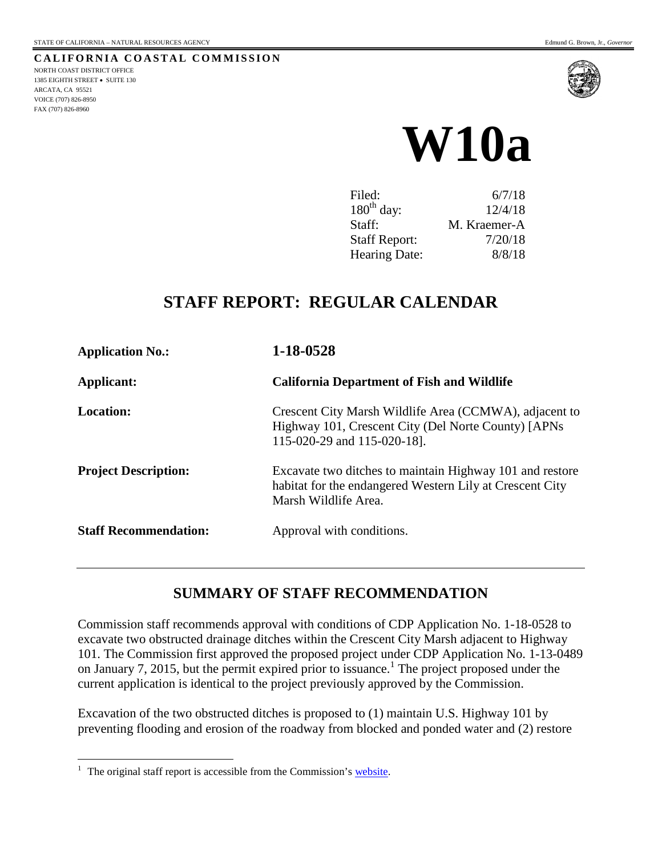

# **W10a**

| Filed:               | 6/7/18       |
|----------------------|--------------|
| $180th$ day:         | 12/4/18      |
| Staff:               | M. Kraemer-A |
| <b>Staff Report:</b> | 7/20/18      |
| Hearing Date:        | 8/8/18       |

# **STAFF REPORT: REGULAR CALENDAR**

| <b>Application No.:</b>      | 1-18-0528<br><b>California Department of Fish and Wildlife</b>                                                                               |  |
|------------------------------|----------------------------------------------------------------------------------------------------------------------------------------------|--|
| Applicant:                   |                                                                                                                                              |  |
| <b>Location:</b>             | Crescent City Marsh Wildlife Area (CCMWA), adjacent to<br>Highway 101, Crescent City (Del Norte County) [APNs<br>115-020-29 and 115-020-18]. |  |
| <b>Project Description:</b>  | Excavate two ditches to maintain Highway 101 and restore<br>habitat for the endangered Western Lily at Crescent City<br>Marsh Wildlife Area. |  |
| <b>Staff Recommendation:</b> | Approval with conditions.                                                                                                                    |  |

# **SUMMARY OF STAFF RECOMMENDATION**

Commission staff recommends approval with conditions of CDP Application No. 1-18-0528 to excavate two obstructed drainage ditches within the Crescent City Marsh adjacent to Highway 101. The Commission first approved the proposed project under CDP Application No. 1-13-0489 on January 7, 2015, but the permit expired prior to issuance.<sup>1</sup> The project proposed under the current application is identical to the project previously approved by the Commission.

Excavation of the two obstructed ditches is proposed to (1) maintain U.S. Highway 101 by preventing flooding and erosion of the roadway from blocked and ponded water and (2) restore

 $\overline{a}$ 

<sup>&</sup>lt;sup>1</sup> The original staff report is accessible from the Commission's [website.](https://documents.coastal.ca.gov/reports/2015/1/W12a-1-2015.pdf)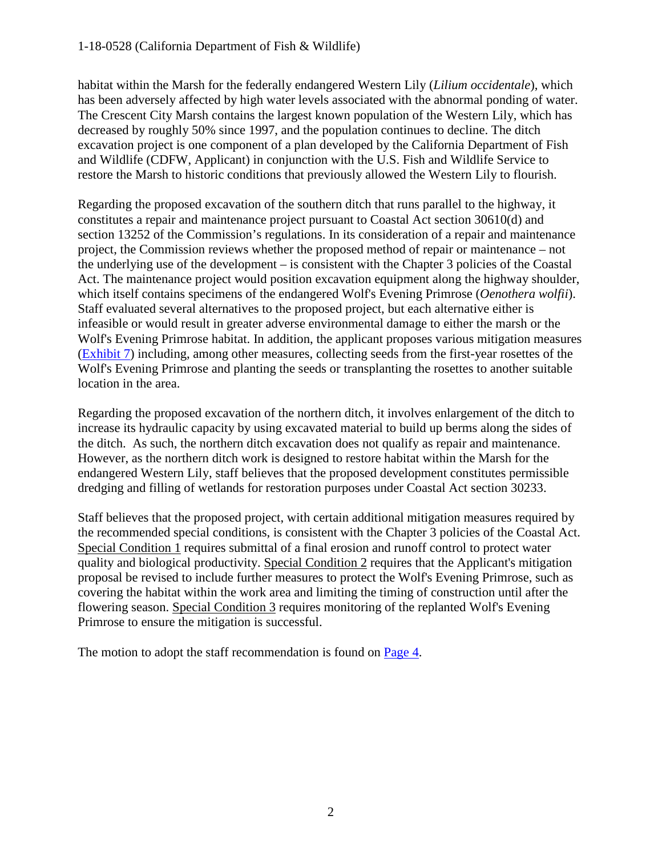habitat within the Marsh for the federally endangered Western Lily (*Lilium occidentale*), which has been adversely affected by high water levels associated with the abnormal ponding of water. The Crescent City Marsh contains the largest known population of the Western Lily, which has decreased by roughly 50% since 1997, and the population continues to decline. The ditch excavation project is one component of a plan developed by the California Department of Fish and Wildlife (CDFW, Applicant) in conjunction with the U.S. Fish and Wildlife Service to restore the Marsh to historic conditions that previously allowed the Western Lily to flourish.

Regarding the proposed excavation of the southern ditch that runs parallel to the highway, it constitutes a repair and maintenance project pursuant to Coastal Act section 30610(d) and section 13252 of the Commission's regulations. In its consideration of a repair and maintenance project, the Commission reviews whether the proposed method of repair or maintenance – not the underlying use of the development – is consistent with the Chapter 3 policies of the Coastal Act. The maintenance project would position excavation equipment along the highway shoulder, which itself contains specimens of the endangered Wolf's Evening Primrose (*Oenothera wolfii*). Staff evaluated several alternatives to the proposed project, but each alternative either is infeasible or would result in greater adverse environmental damage to either the marsh or the Wolf's Evening Primrose habitat. In addition, the applicant proposes various mitigation measures [\(Exhibit 7\)](https://documents.coastal.ca.gov/reports/2018/8/w10a/w10a-8-2018-exhibits.pdf) including, among other measures, collecting seeds from the first-year rosettes of the Wolf's Evening Primrose and planting the seeds or transplanting the rosettes to another suitable location in the area.

Regarding the proposed excavation of the northern ditch, it involves enlargement of the ditch to increase its hydraulic capacity by using excavated material to build up berms along the sides of the ditch. As such, the northern ditch excavation does not qualify as repair and maintenance. However, as the northern ditch work is designed to restore habitat within the Marsh for the endangered Western Lily, staff believes that the proposed development constitutes permissible dredging and filling of wetlands for restoration purposes under Coastal Act section 30233.

Staff believes that the proposed project, with certain additional mitigation measures required by the recommended special conditions, is consistent with the Chapter 3 policies of the Coastal Act. Special Condition 1 requires submittal of a final erosion and runoff control to protect water quality and biological productivity. Special Condition 2 requires that the Applicant's mitigation proposal be revised to include further measures to protect the Wolf's Evening Primrose, such as covering the habitat within the work area and limiting the timing of construction until after the flowering season. Special Condition 3 requires monitoring of the replanted Wolf's Evening Primrose to ensure the mitigation is successful.

The motion to adopt the staff recommendation is found on [Page 4.](#page-3-0)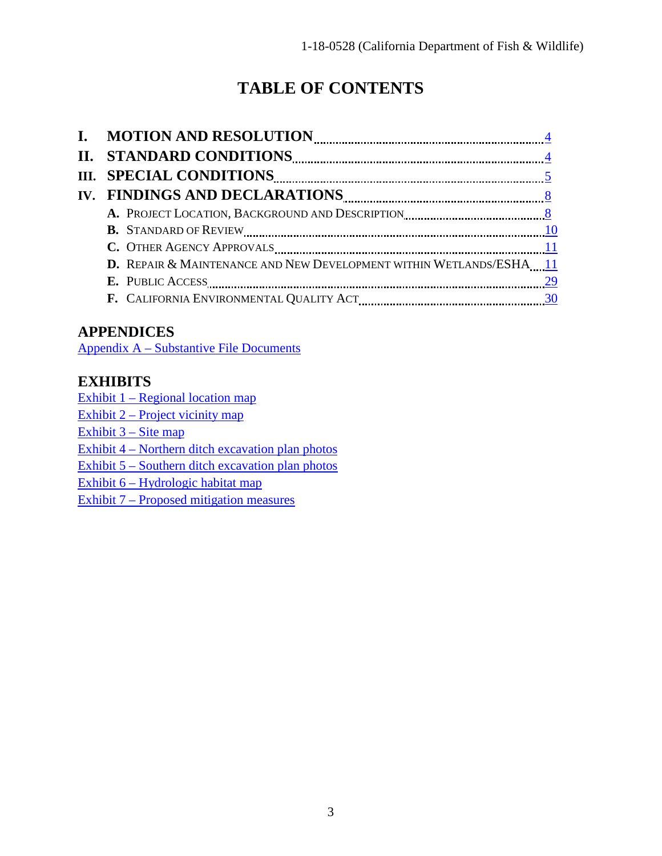# **TABLE OF CONTENTS**

| D. REPAIR & MAINTENANCE AND NEW DEVELOPMENT WITHIN WETLANDS/ESHA11 |
|--------------------------------------------------------------------|
|                                                                    |
|                                                                    |
|                                                                    |

# **APPENDICES**

[Appendix A – Substantive File Documents](#page-30-0)

# **EXHIBITS**

[Exhibit 1 – Regional location map](https://documents.coastal.ca.gov/reports/2018/8/w10a/w10a-8-2018-exhibits.pdf)

[Exhibit 2 – Project vicinity map](https://documents.coastal.ca.gov/reports/2018/8/w10a/w10a-8-2018-exhibits.pdf)

[Exhibit 3 – Site map](https://documents.coastal.ca.gov/reports/2018/8/w10a/w10a-8-2018-exhibits.pdf)

[Exhibit 4 – Northern ditch excavation plan photos](https://documents.coastal.ca.gov/reports/2018/8/w10a/w10a-8-2018-exhibits.pdf) 

[Exhibit 5 – Southern ditch excavation plan photos](https://documents.coastal.ca.gov/reports/2018/8/w10a/w10a-8-2018-exhibits.pdf) 

[Exhibit 6 – Hydrologic habitat map](https://documents.coastal.ca.gov/reports/2018/8/w10a/w10a-8-2018-exhibits.pdf)

[Exhibit 7 – Proposed mitigation measures](https://documents.coastal.ca.gov/reports/2018/8/w10a/w10a-8-2018-exhibits.pdf)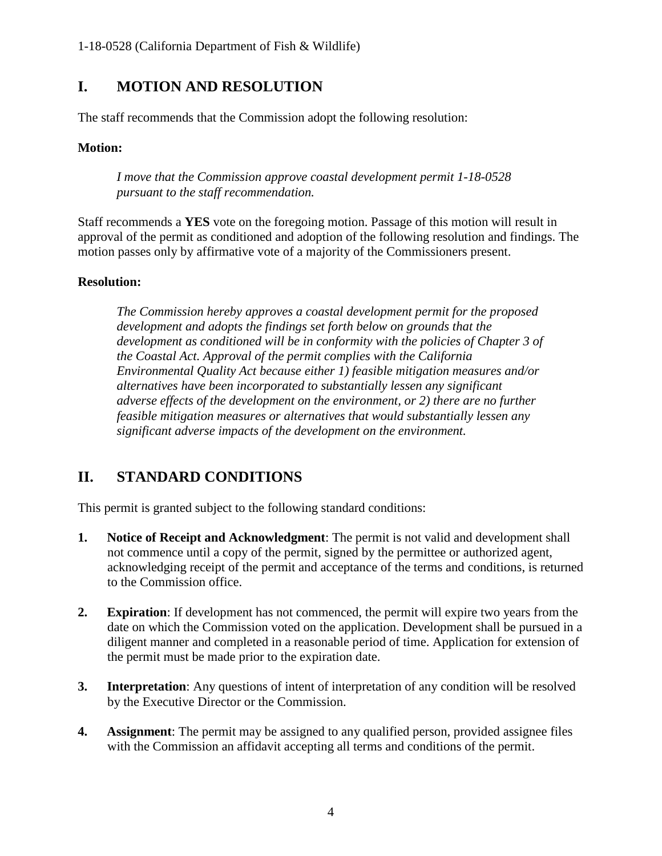# <span id="page-3-0"></span>**I. MOTION AND RESOLUTION**

The staff recommends that the Commission adopt the following resolution:

#### **Motion:**

*I move that the Commission approve coastal development permit 1-18-0528 pursuant to the staff recommendation.* 

Staff recommends a **YES** vote on the foregoing motion. Passage of this motion will result in approval of the permit as conditioned and adoption of the following resolution and findings. The motion passes only by affirmative vote of a majority of the Commissioners present.

#### **Resolution:**

*The Commission hereby approves a coastal development permit for the proposed development and adopts the findings set forth below on grounds that the development as conditioned will be in conformity with the policies of Chapter 3 of the Coastal Act. Approval of the permit complies with the California Environmental Quality Act because either 1) feasible mitigation measures and/or alternatives have been incorporated to substantially lessen any significant adverse effects of the development on the environment, or 2) there are no further feasible mitigation measures or alternatives that would substantially lessen any significant adverse impacts of the development on the environment.* 

# <span id="page-3-1"></span>**II. STANDARD CONDITIONS**

This permit is granted subject to the following standard conditions:

- **1. Notice of Receipt and Acknowledgment**: The permit is not valid and development shall not commence until a copy of the permit, signed by the permittee or authorized agent, acknowledging receipt of the permit and acceptance of the terms and conditions, is returned to the Commission office.
- **2. Expiration**: If development has not commenced, the permit will expire two years from the date on which the Commission voted on the application. Development shall be pursued in a diligent manner and completed in a reasonable period of time. Application for extension of the permit must be made prior to the expiration date.
- **3. Interpretation**: Any questions of intent of interpretation of any condition will be resolved by the Executive Director or the Commission.
- **4. Assignment**: The permit may be assigned to any qualified person, provided assignee files with the Commission an affidavit accepting all terms and conditions of the permit.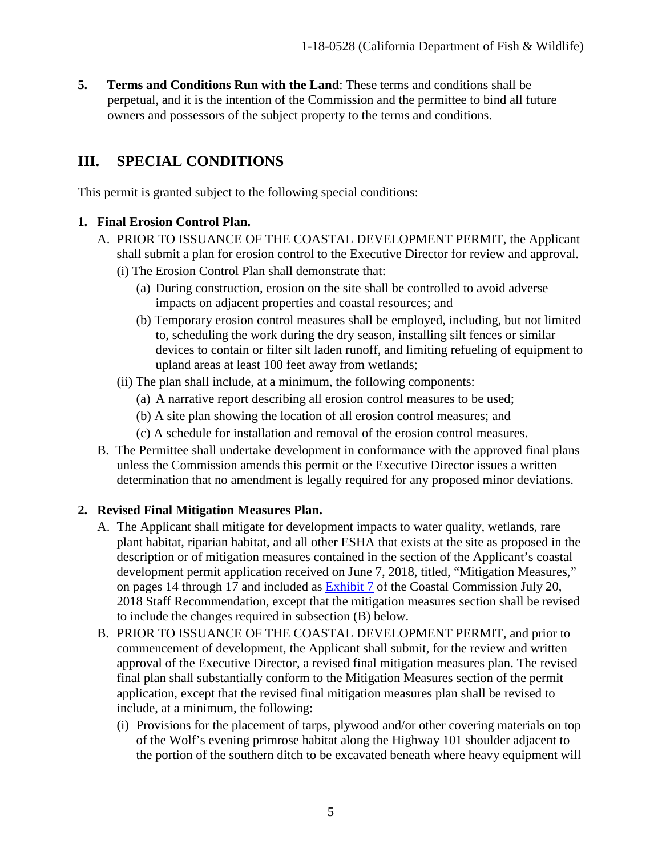**5. Terms and Conditions Run with the Land**: These terms and conditions shall be perpetual, and it is the intention of the Commission and the permittee to bind all future owners and possessors of the subject property to the terms and conditions.

# <span id="page-4-0"></span>**III. SPECIAL CONDITIONS**

This permit is granted subject to the following special conditions:

#### **1. Final Erosion Control Plan.**

- A. PRIOR TO ISSUANCE OF THE COASTAL DEVELOPMENT PERMIT, the Applicant shall submit a plan for erosion control to the Executive Director for review and approval.
	- (i) The Erosion Control Plan shall demonstrate that:
		- (a) During construction, erosion on the site shall be controlled to avoid adverse impacts on adjacent properties and coastal resources; and
		- (b) Temporary erosion control measures shall be employed, including, but not limited to, scheduling the work during the dry season, installing silt fences or similar devices to contain or filter silt laden runoff, and limiting refueling of equipment to upland areas at least 100 feet away from wetlands;
	- (ii) The plan shall include, at a minimum, the following components:
		- (a) A narrative report describing all erosion control measures to be used;
		- (b) A site plan showing the location of all erosion control measures; and
		- (c) A schedule for installation and removal of the erosion control measures.
- B. The Permittee shall undertake development in conformance with the approved final plans unless the Commission amends this permit or the Executive Director issues a written determination that no amendment is legally required for any proposed minor deviations.

#### **2. Revised Final Mitigation Measures Plan.**

- A. The Applicant shall mitigate for development impacts to water quality, wetlands, rare plant habitat, riparian habitat, and all other ESHA that exists at the site as proposed in the description or of mitigation measures contained in the section of the Applicant's coastal development permit application received on June 7, 2018, titled, "Mitigation Measures," on pages 14 through 17 and included as [Exhibit 7](https://documents.coastal.ca.gov/reports/2018/8/w10a/w10a-8-2018-exhibits.pdf) of the Coastal Commission July 20, 2018 Staff Recommendation, except that the mitigation measures section shall be revised to include the changes required in subsection (B) below.
- B. PRIOR TO ISSUANCE OF THE COASTAL DEVELOPMENT PERMIT, and prior to commencement of development, the Applicant shall submit, for the review and written approval of the Executive Director, a revised final mitigation measures plan. The revised final plan shall substantially conform to the Mitigation Measures section of the permit application, except that the revised final mitigation measures plan shall be revised to include, at a minimum, the following:
	- (i) Provisions for the placement of tarps, plywood and/or other covering materials on top of the Wolf's evening primrose habitat along the Highway 101 shoulder adjacent to the portion of the southern ditch to be excavated beneath where heavy equipment will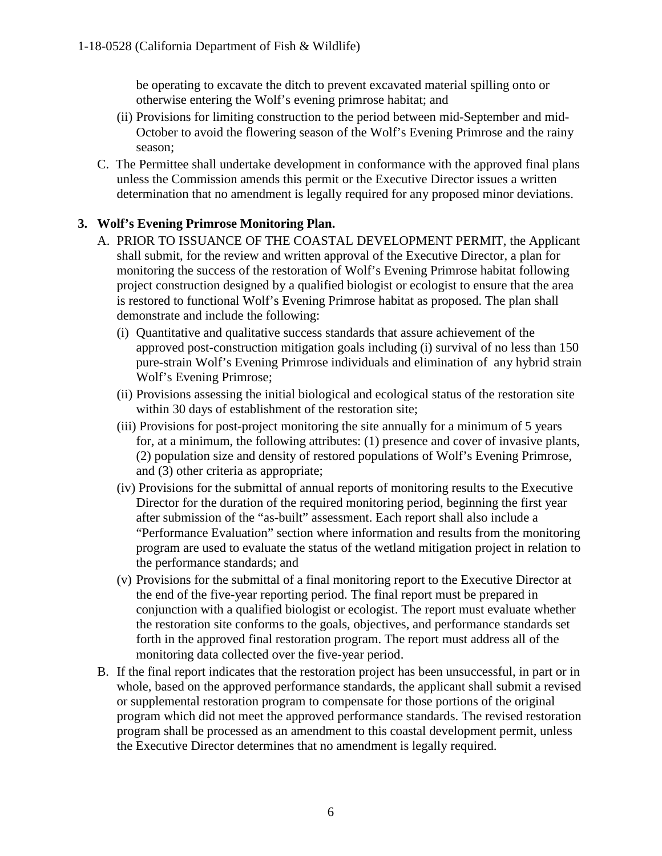be operating to excavate the ditch to prevent excavated material spilling onto or otherwise entering the Wolf's evening primrose habitat; and

- (ii) Provisions for limiting construction to the period between mid-September and mid-October to avoid the flowering season of the Wolf's Evening Primrose and the rainy season;
- C. The Permittee shall undertake development in conformance with the approved final plans unless the Commission amends this permit or the Executive Director issues a written determination that no amendment is legally required for any proposed minor deviations.

#### **3. Wolf's Evening Primrose Monitoring Plan.**

- A. PRIOR TO ISSUANCE OF THE COASTAL DEVELOPMENT PERMIT, the Applicant shall submit, for the review and written approval of the Executive Director, a plan for monitoring the success of the restoration of Wolf's Evening Primrose habitat following project construction designed by a qualified biologist or ecologist to ensure that the area is restored to functional Wolf's Evening Primrose habitat as proposed. The plan shall demonstrate and include the following:
	- (i) Quantitative and qualitative success standards that assure achievement of the approved post-construction mitigation goals including (i) survival of no less than 150 pure-strain Wolf's Evening Primrose individuals and elimination of any hybrid strain Wolf's Evening Primrose;
	- (ii) Provisions assessing the initial biological and ecological status of the restoration site within 30 days of establishment of the restoration site;
	- (iii) Provisions for post-project monitoring the site annually for a minimum of 5 years for, at a minimum, the following attributes: (1) presence and cover of invasive plants, (2) population size and density of restored populations of Wolf's Evening Primrose, and (3) other criteria as appropriate;
	- (iv) Provisions for the submittal of annual reports of monitoring results to the Executive Director for the duration of the required monitoring period, beginning the first year after submission of the "as-built" assessment. Each report shall also include a "Performance Evaluation" section where information and results from the monitoring program are used to evaluate the status of the wetland mitigation project in relation to the performance standards; and
	- (v) Provisions for the submittal of a final monitoring report to the Executive Director at the end of the five-year reporting period. The final report must be prepared in conjunction with a qualified biologist or ecologist. The report must evaluate whether the restoration site conforms to the goals, objectives, and performance standards set forth in the approved final restoration program. The report must address all of the monitoring data collected over the five-year period.
- B. If the final report indicates that the restoration project has been unsuccessful, in part or in whole, based on the approved performance standards, the applicant shall submit a revised or supplemental restoration program to compensate for those portions of the original program which did not meet the approved performance standards. The revised restoration program shall be processed as an amendment to this coastal development permit, unless the Executive Director determines that no amendment is legally required.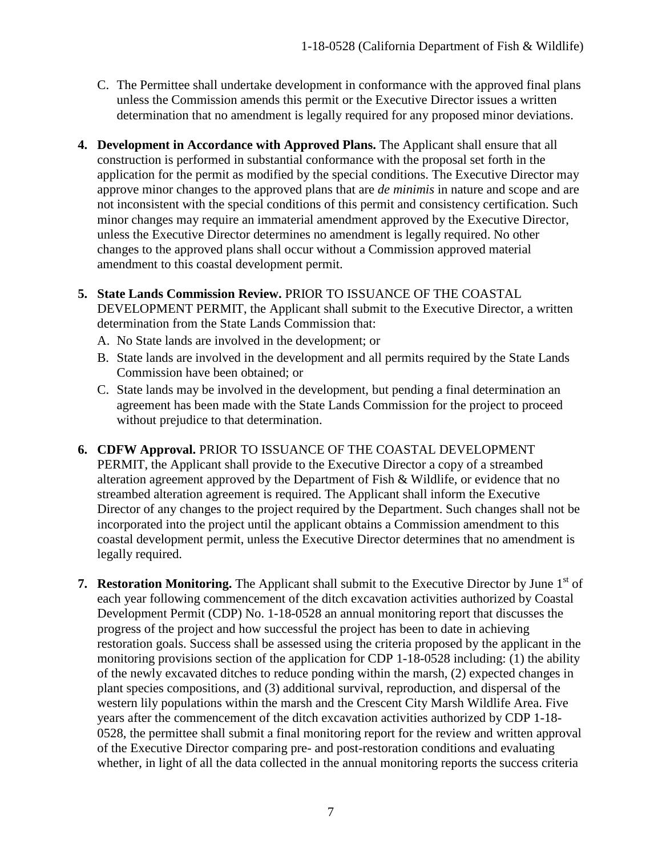- C. The Permittee shall undertake development in conformance with the approved final plans unless the Commission amends this permit or the Executive Director issues a written determination that no amendment is legally required for any proposed minor deviations.
- **4. Development in Accordance with Approved Plans.** The Applicant shall ensure that all construction is performed in substantial conformance with the proposal set forth in the application for the permit as modified by the special conditions. The Executive Director may approve minor changes to the approved plans that are *de minimis* in nature and scope and are not inconsistent with the special conditions of this permit and consistency certification. Such minor changes may require an immaterial amendment approved by the Executive Director, unless the Executive Director determines no amendment is legally required. No other changes to the approved plans shall occur without a Commission approved material amendment to this coastal development permit.
- **5. State Lands Commission Review.** PRIOR TO ISSUANCE OF THE COASTAL DEVELOPMENT PERMIT, the Applicant shall submit to the Executive Director, a written determination from the State Lands Commission that:
	- A. No State lands are involved in the development; or
	- B. State lands are involved in the development and all permits required by the State Lands Commission have been obtained; or
	- C. State lands may be involved in the development, but pending a final determination an agreement has been made with the State Lands Commission for the project to proceed without prejudice to that determination.
- **6. CDFW Approval.** PRIOR TO ISSUANCE OF THE COASTAL DEVELOPMENT PERMIT, the Applicant shall provide to the Executive Director a copy of a streambed alteration agreement approved by the Department of Fish & Wildlife, or evidence that no streambed alteration agreement is required. The Applicant shall inform the Executive Director of any changes to the project required by the Department. Such changes shall not be incorporated into the project until the applicant obtains a Commission amendment to this coastal development permit, unless the Executive Director determines that no amendment is legally required.
- **7. Restoration Monitoring.** The Applicant shall submit to the Executive Director by June 1<sup>st</sup> of each year following commencement of the ditch excavation activities authorized by Coastal Development Permit (CDP) No. 1-18-0528 an annual monitoring report that discusses the progress of the project and how successful the project has been to date in achieving restoration goals. Success shall be assessed using the criteria proposed by the applicant in the monitoring provisions section of the application for CDP 1-18-0528 including: (1) the ability of the newly excavated ditches to reduce ponding within the marsh, (2) expected changes in plant species compositions, and (3) additional survival, reproduction, and dispersal of the western lily populations within the marsh and the Crescent City Marsh Wildlife Area. Five years after the commencement of the ditch excavation activities authorized by CDP 1-18- 0528, the permittee shall submit a final monitoring report for the review and written approval of the Executive Director comparing pre- and post-restoration conditions and evaluating whether, in light of all the data collected in the annual monitoring reports the success criteria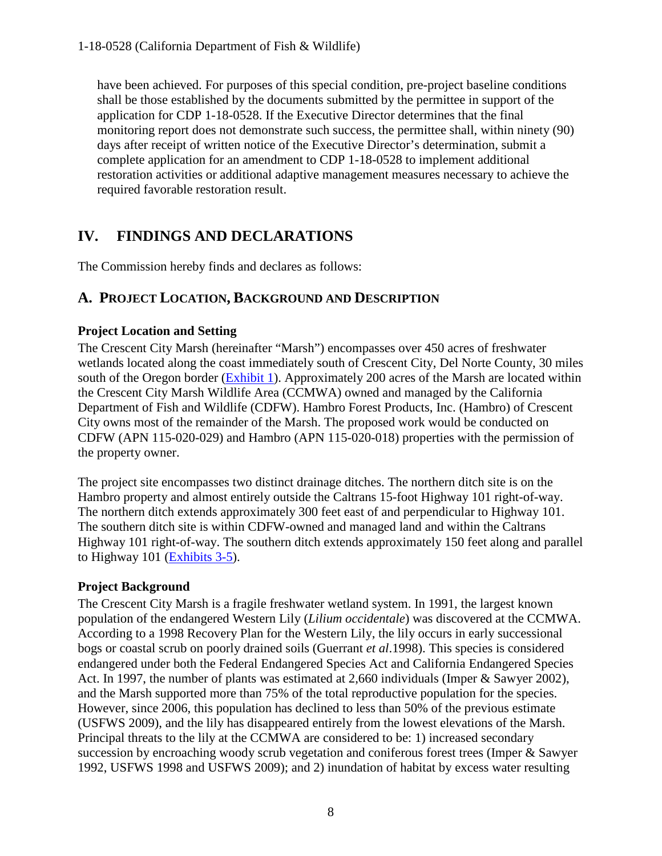have been achieved. For purposes of this special condition, pre-project baseline conditions shall be those established by the documents submitted by the permittee in support of the application for CDP 1-18-0528. If the Executive Director determines that the final monitoring report does not demonstrate such success, the permittee shall, within ninety (90) days after receipt of written notice of the Executive Director's determination, submit a complete application for an amendment to CDP 1-18-0528 to implement additional restoration activities or additional adaptive management measures necessary to achieve the required favorable restoration result.

# <span id="page-7-0"></span>**IV. FINDINGS AND DECLARATIONS**

The Commission hereby finds and declares as follows:

## <span id="page-7-1"></span>**A. PROJECT LOCATION, BACKGROUND AND DESCRIPTION**

#### **Project Location and Setting**

The Crescent City Marsh (hereinafter "Marsh") encompasses over 450 acres of freshwater wetlands located along the coast immediately south of Crescent City, Del Norte County, 30 miles south of the Oregon border [\(Exhibit 1\)](https://documents.coastal.ca.gov/reports/2018/8/w10a/w10a-8-2018-exhibits.pdf). Approximately 200 acres of the Marsh are located within the Crescent City Marsh Wildlife Area (CCMWA) owned and managed by the California Department of Fish and Wildlife (CDFW). Hambro Forest Products, Inc. (Hambro) of Crescent City owns most of the remainder of the Marsh. The proposed work would be conducted on CDFW (APN 115-020-029) and Hambro (APN 115-020-018) properties with the permission of the property owner.

The project site encompasses two distinct drainage ditches. The northern ditch site is on the Hambro property and almost entirely outside the Caltrans 15-foot Highway 101 right-of-way. The northern ditch extends approximately 300 feet east of and perpendicular to Highway 101. The southern ditch site is within CDFW-owned and managed land and within the Caltrans Highway 101 right-of-way. The southern ditch extends approximately 150 feet along and parallel to Highway 101 [\(Exhibits 3-5\)](https://documents.coastal.ca.gov/reports/2018/8/w10a/w10a-8-2018-exhibits.pdf).

#### **Project Background**

The Crescent City Marsh is a fragile freshwater wetland system. In 1991, the largest known population of the endangered Western Lily (*Lilium occidentale*) was discovered at the CCMWA. According to a 1998 Recovery Plan for the Western Lily, the lily occurs in early successional bogs or coastal scrub on poorly drained soils (Guerrant *et al*.1998). This species is considered endangered under both the Federal Endangered Species Act and California Endangered Species Act. In 1997, the number of plants was estimated at 2,660 individuals (Imper & Sawyer 2002), and the Marsh supported more than 75% of the total reproductive population for the species. However, since 2006, this population has declined to less than 50% of the previous estimate (USFWS 2009), and the lily has disappeared entirely from the lowest elevations of the Marsh. Principal threats to the lily at the CCMWA are considered to be: 1) increased secondary succession by encroaching woody scrub vegetation and coniferous forest trees (Imper & Sawyer 1992, USFWS 1998 and USFWS 2009); and 2) inundation of habitat by excess water resulting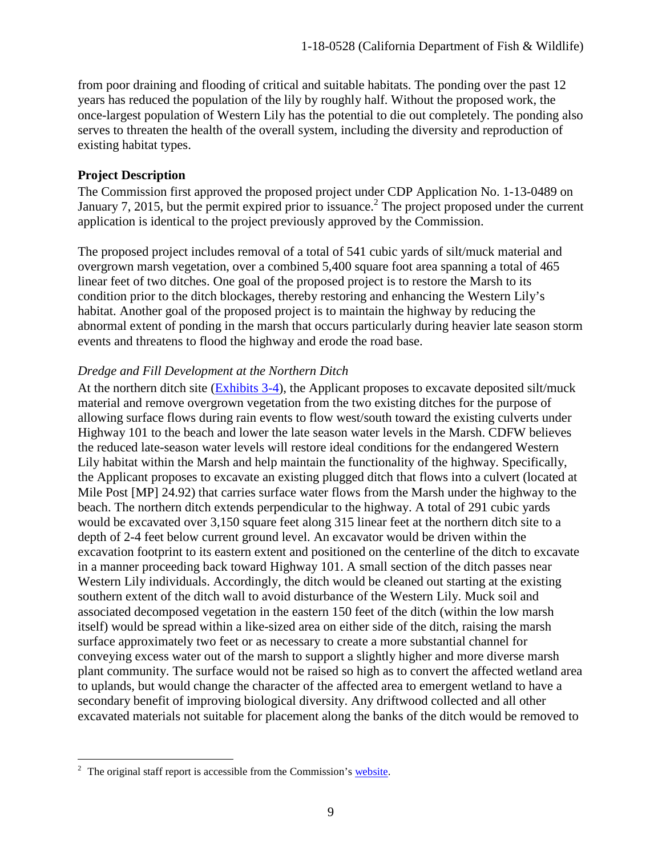from poor draining and flooding of critical and suitable habitats. The ponding over the past 12 years has reduced the population of the lily by roughly half. Without the proposed work, the once-largest population of Western Lily has the potential to die out completely. The ponding also serves to threaten the health of the overall system, including the diversity and reproduction of existing habitat types.

#### **Project Description**

The Commission first approved the proposed project under CDP Application No. 1-13-0489 on January 7, 2015, but the permit expired prior to issuance.<sup>2</sup> The project proposed under the current application is identical to the project previously approved by the Commission.

The proposed project includes removal of a total of 541 cubic yards of silt/muck material and overgrown marsh vegetation, over a combined 5,400 square foot area spanning a total of 465 linear feet of two ditches. One goal of the proposed project is to restore the Marsh to its condition prior to the ditch blockages, thereby restoring and enhancing the Western Lily's habitat. Another goal of the proposed project is to maintain the highway by reducing the abnormal extent of ponding in the marsh that occurs particularly during heavier late season storm events and threatens to flood the highway and erode the road base.

#### *Dredge and Fill Development at the Northern Ditch*

At the northern ditch site [\(Exhibits 3-4\)](https://documents.coastal.ca.gov/reports/2018/8/w10a/w10a-8-2018-exhibits.pdf), the Applicant proposes to excavate deposited silt/muck material and remove overgrown vegetation from the two existing ditches for the purpose of allowing surface flows during rain events to flow west/south toward the existing culverts under Highway 101 to the beach and lower the late season water levels in the Marsh. CDFW believes the reduced late-season water levels will restore ideal conditions for the endangered Western Lily habitat within the Marsh and help maintain the functionality of the highway. Specifically, the Applicant proposes to excavate an existing plugged ditch that flows into a culvert (located at Mile Post [MP] 24.92) that carries surface water flows from the Marsh under the highway to the beach. The northern ditch extends perpendicular to the highway. A total of 291 cubic yards would be excavated over 3,150 square feet along 315 linear feet at the northern ditch site to a depth of 2-4 feet below current ground level. An excavator would be driven within the excavation footprint to its eastern extent and positioned on the centerline of the ditch to excavate in a manner proceeding back toward Highway 101. A small section of the ditch passes near Western Lily individuals. Accordingly, the ditch would be cleaned out starting at the existing southern extent of the ditch wall to avoid disturbance of the Western Lily. Muck soil and associated decomposed vegetation in the eastern 150 feet of the ditch (within the low marsh itself) would be spread within a like-sized area on either side of the ditch, raising the marsh surface approximately two feet or as necessary to create a more substantial channel for conveying excess water out of the marsh to support a slightly higher and more diverse marsh plant community. The surface would not be raised so high as to convert the affected wetland area to uplands, but would change the character of the affected area to emergent wetland to have a secondary benefit of improving biological diversity. Any driftwood collected and all other excavated materials not suitable for placement along the banks of the ditch would be removed to

 $\overline{a}$ 

 $2^2$  The original staff report is accessible from the Commission's [website.](https://documents.coastal.ca.gov/reports/2015/1/W12a-1-2015.pdf)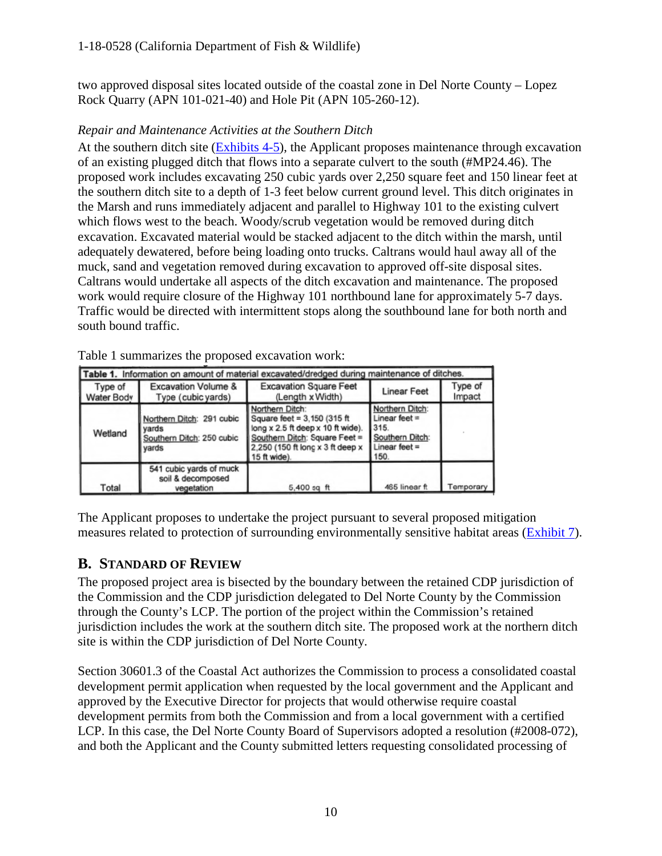two approved disposal sites located outside of the coastal zone in Del Norte County – Lopez Rock Quarry (APN 101-021-40) and Hole Pit (APN 105-260-12).

#### *Repair and Maintenance Activities at the Southern Ditch*

At the southern ditch site [\(Exhibits 4-5\)](https://documents.coastal.ca.gov/reports/2018/8/w10a/w10a-8-2018-exhibits.pdf), the Applicant proposes maintenance through excavation of an existing plugged ditch that flows into a separate culvert to the south (#MP24.46). The proposed work includes excavating 250 cubic yards over 2,250 square feet and 150 linear feet at the southern ditch site to a depth of 1-3 feet below current ground level. This ditch originates in the Marsh and runs immediately adjacent and parallel to Highway 101 to the existing culvert which flows west to the beach. Woody/scrub vegetation would be removed during ditch excavation. Excavated material would be stacked adjacent to the ditch within the marsh, until adequately dewatered, before being loading onto trucks. Caltrans would haul away all of the muck, sand and vegetation removed during excavation to approved off-site disposal sites. Caltrans would undertake all aspects of the ditch excavation and maintenance. The proposed work would require closure of the Highway 101 northbound lane for approximately 5-7 days. Traffic would be directed with intermittent stops along the southbound lane for both north and south bound traffic.

|                       | Table 1. Information on amount of material excavated/dredged during maintenance of ditches. |                                                                                                                                                                           |                                                                                          |                   |  |  |  |
|-----------------------|---------------------------------------------------------------------------------------------|---------------------------------------------------------------------------------------------------------------------------------------------------------------------------|------------------------------------------------------------------------------------------|-------------------|--|--|--|
| Type of<br>Water Body | <b>Excavation Volume &amp;</b><br>Type (cubic yards)                                        | <b>Excavation Square Feet</b><br>(Length x Width)                                                                                                                         | <b>Linear Feet</b>                                                                       | Type of<br>Impact |  |  |  |
| Wetland               | Northern Ditch: 291 cubic<br>I vards<br>Southern Ditch: 250 cubic<br>vards                  | Northern Ditch:<br>Square feet = 3,150 (315 ft)<br>long x 2.5 ft deep x 10 ft wide).<br>Southern Ditch: Square Feet =<br>2,250 (150 ft long x 3 ft deep x<br>15 ft wide). | Northern Ditch:<br>Linear feet $=$<br>315.<br>Southern Ditch:<br>Linear feet $=$<br>150. |                   |  |  |  |
| Total                 | 541 cubic yards of muck<br>soil & decomposed<br>vegetation                                  | $5,400$ sq ft                                                                                                                                                             | 465 linear ft                                                                            | Temporary         |  |  |  |

Table 1 summarizes the proposed excavation work:

The Applicant proposes to undertake the project pursuant to several proposed mitigation measures related to protection of surrounding environmentally sensitive habitat areas [\(Exhibit 7\)](https://documents.coastal.ca.gov/reports/2018/8/w10a/w10a-8-2018-exhibits.pdf).

# <span id="page-9-0"></span>**B. STANDARD OF REVIEW**

The proposed project area is bisected by the boundary between the retained CDP jurisdiction of the Commission and the CDP jurisdiction delegated to Del Norte County by the Commission through the County's LCP. The portion of the project within the Commission's retained jurisdiction includes the work at the southern ditch site. The proposed work at the northern ditch site is within the CDP jurisdiction of Del Norte County.

Section 30601.3 of the Coastal Act authorizes the Commission to process a consolidated coastal development permit application when requested by the local government and the Applicant and approved by the Executive Director for projects that would otherwise require coastal development permits from both the Commission and from a local government with a certified LCP. In this case, the Del Norte County Board of Supervisors adopted a resolution (#2008-072), and both the Applicant and the County submitted letters requesting consolidated processing of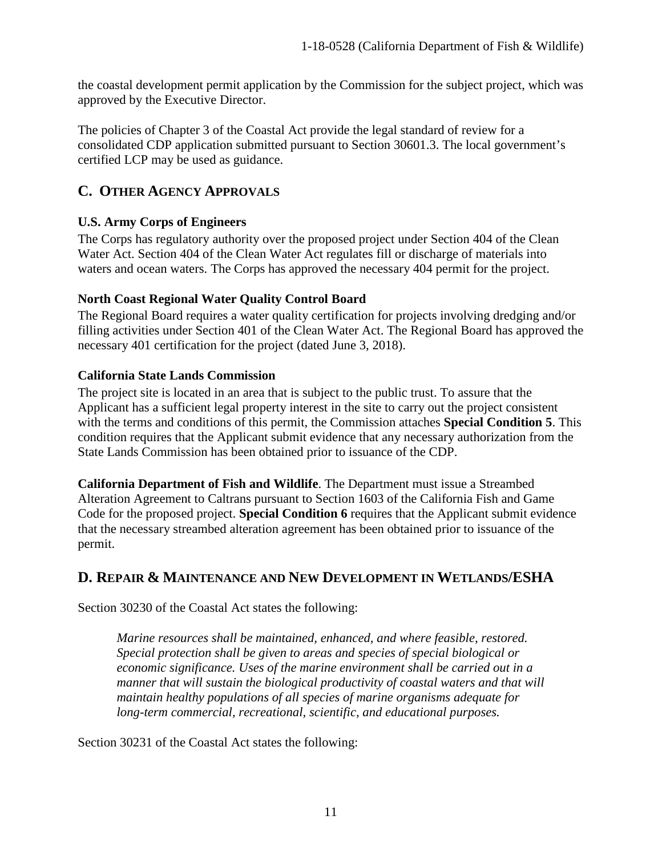the coastal development permit application by the Commission for the subject project, which was approved by the Executive Director.

The policies of Chapter 3 of the Coastal Act provide the legal standard of review for a consolidated CDP application submitted pursuant to Section 30601.3. The local government's certified LCP may be used as guidance.

# <span id="page-10-0"></span>**C. OTHER AGENCY APPROVALS**

## **U.S. Army Corps of Engineers**

The Corps has regulatory authority over the proposed project under Section 404 of the Clean Water Act. Section 404 of the Clean Water Act regulates fill or discharge of materials into waters and ocean waters. The Corps has approved the necessary 404 permit for the project.

## **North Coast Regional Water Quality Control Board**

The Regional Board requires a water quality certification for projects involving dredging and/or filling activities under Section 401 of the Clean Water Act. The Regional Board has approved the necessary 401 certification for the project (dated June 3, 2018).

## **California State Lands Commission**

The project site is located in an area that is subject to the public trust. To assure that the Applicant has a sufficient legal property interest in the site to carry out the project consistent with the terms and conditions of this permit, the Commission attaches **Special Condition 5**. This condition requires that the Applicant submit evidence that any necessary authorization from the State Lands Commission has been obtained prior to issuance of the CDP.

**California Department of Fish and Wildlife**. The Department must issue a Streambed Alteration Agreement to Caltrans pursuant to Section 1603 of the California Fish and Game Code for the proposed project. **Special Condition 6** requires that the Applicant submit evidence that the necessary streambed alteration agreement has been obtained prior to issuance of the permit.

# <span id="page-10-1"></span>**D. REPAIR & MAINTENANCE AND NEW DEVELOPMENT IN WETLANDS/ESHA**

Section 30230 of the Coastal Act states the following:

*Marine resources shall be maintained, enhanced, and where feasible, restored. Special protection shall be given to areas and species of special biological or economic significance. Uses of the marine environment shall be carried out in a manner that will sustain the biological productivity of coastal waters and that will maintain healthy populations of all species of marine organisms adequate for long-term commercial, recreational, scientific, and educational purposes.* 

Section 30231 of the Coastal Act states the following: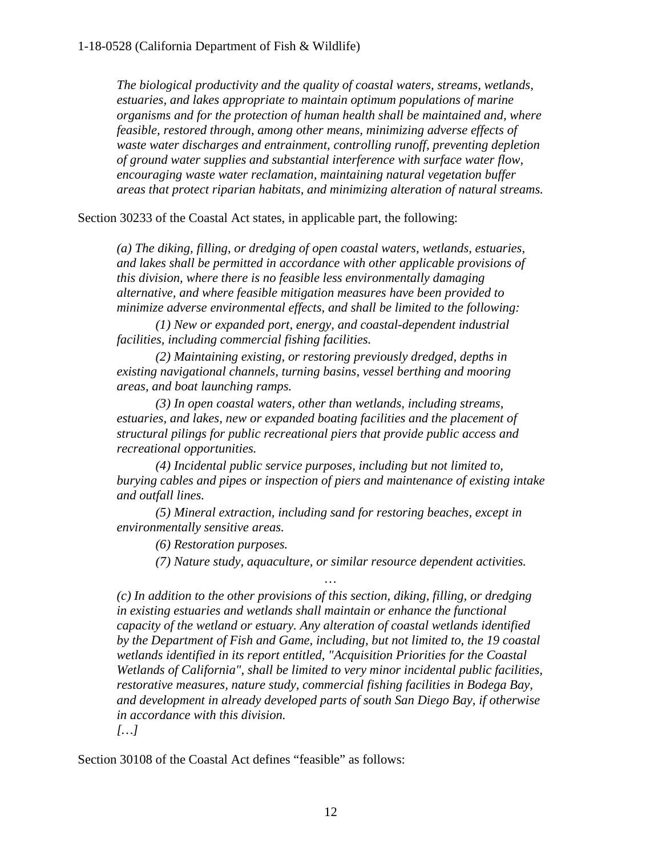*The biological productivity and the quality of coastal waters, streams, wetlands, estuaries, and lakes appropriate to maintain optimum populations of marine organisms and for the protection of human health shall be maintained and, where feasible, restored through, among other means, minimizing adverse effects of waste water discharges and entrainment, controlling runoff, preventing depletion of ground water supplies and substantial interference with surface water flow, encouraging waste water reclamation, maintaining natural vegetation buffer areas that protect riparian habitats, and minimizing alteration of natural streams.* 

Section 30233 of the Coastal Act states, in applicable part, the following:

*(a) The diking, filling, or dredging of open coastal waters, wetlands, estuaries, and lakes shall be permitted in accordance with other applicable provisions of this division, where there is no feasible less environmentally damaging alternative, and where feasible mitigation measures have been provided to minimize adverse environmental effects, and shall be limited to the following:* 

*(1) New or expanded port, energy, and coastal-dependent industrial facilities, including commercial fishing facilities.*

*(2) Maintaining existing, or restoring previously dredged, depths in existing navigational channels, turning basins, vessel berthing and mooring areas, and boat launching ramps.* 

*(3) In open coastal waters, other than wetlands, including streams, estuaries, and lakes, new or expanded boating facilities and the placement of structural pilings for public recreational piers that provide public access and recreational opportunities.* 

*(4) Incidental public service purposes, including but not limited to, burying cables and pipes or inspection of piers and maintenance of existing intake and outfall lines.* 

*(5) Mineral extraction, including sand for restoring beaches, except in environmentally sensitive areas.* 

*(6) Restoration purposes.* 

*(7) Nature study, aquaculture, or similar resource dependent activities.*

*…* 

*(c) In addition to the other provisions of this section, diking, filling, or dredging in existing estuaries and wetlands shall maintain or enhance the functional capacity of the wetland or estuary. Any alteration of coastal wetlands identified by the Department of Fish and Game, including, but not limited to, the 19 coastal wetlands identified in its report entitled, "Acquisition Priorities for the Coastal Wetlands of California", shall be limited to very minor incidental public facilities, restorative measures, nature study, commercial fishing facilities in Bodega Bay, and development in already developed parts of south San Diego Bay, if otherwise in accordance with this division. […]*

Section 30108 of the Coastal Act defines "feasible" as follows: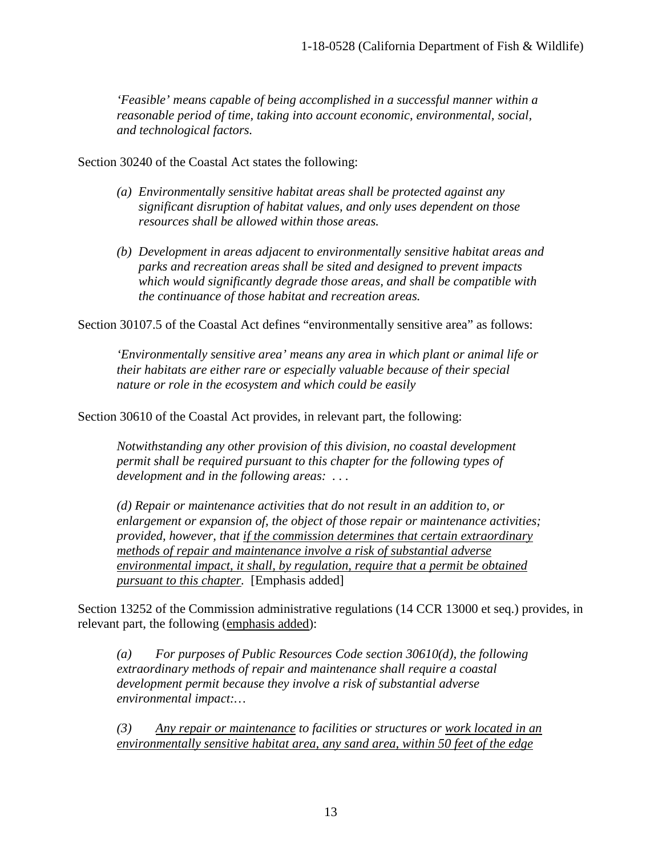*'Feasible' means capable of being accomplished in a successful manner within a reasonable period of time, taking into account economic, environmental, social, and technological factors.* 

Section 30240 of the Coastal Act states the following:

- *(a) Environmentally sensitive habitat areas shall be protected against any significant disruption of habitat values, and only uses dependent on those resources shall be allowed within those areas.*
- *(b) Development in areas adjacent to environmentally sensitive habitat areas and parks and recreation areas shall be sited and designed to prevent impacts which would significantly degrade those areas, and shall be compatible with the continuance of those habitat and recreation areas.*

Section 30107.5 of the Coastal Act defines "environmentally sensitive area" as follows:

*'Environmentally sensitive area' means any area in which plant or animal life or their habitats are either rare or especially valuable because of their special nature or role in the ecosystem and which could be easily*

Section 30610 of the Coastal Act provides, in relevant part, the following:

*Notwithstanding any other provision of this division, no coastal development permit shall be required pursuant to this chapter for the following types of development and in the following areas: . . .* 

*(d) Repair or maintenance activities that do not result in an addition to, or enlargement or expansion of, the object of those repair or maintenance activities; provided, however, that if the commission determines that certain extraordinary methods of repair and maintenance involve a risk of substantial adverse environmental impact, it shall, by regulation, require that a permit be obtained pursuant to this chapter.* [Emphasis added]

Section 13252 of the Commission administrative regulations (14 CCR 13000 et seq.) provides, in relevant part, the following (emphasis added):

*(a) For purposes of Public Resources Code section 30610(d), the following extraordinary methods of repair and maintenance shall require a coastal development permit because they involve a risk of substantial adverse environmental impact:…* 

*(3) Any repair or maintenance to facilities or structures or work located in an environmentally sensitive habitat area, any sand area, within 50 feet of the edge*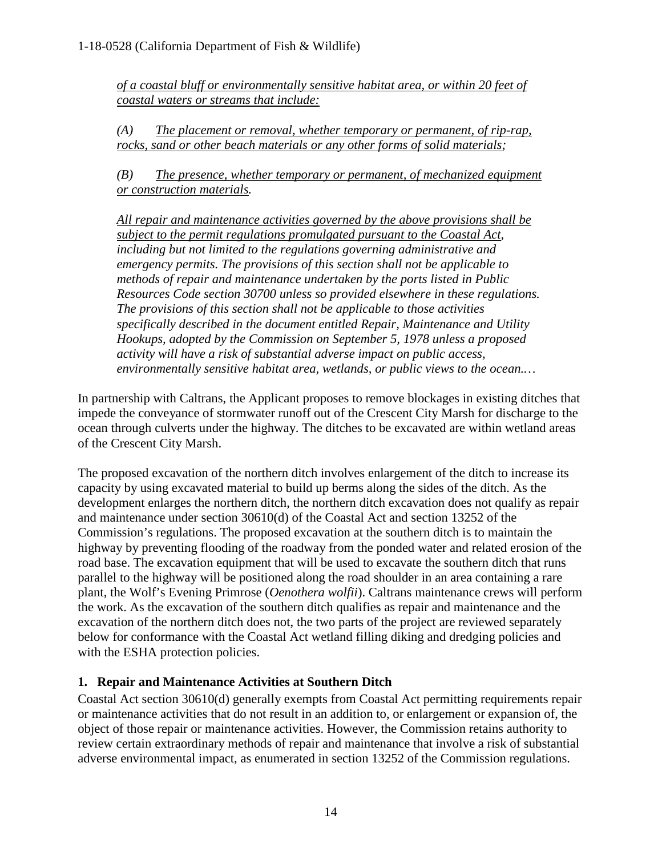*of a coastal bluff or environmentally sensitive habitat area, or within 20 feet of coastal waters or streams that include:* 

*(A) The placement or removal, whether temporary or permanent, of rip-rap, rocks, sand or other beach materials or any other forms of solid materials;* 

*(B) The presence, whether temporary or permanent, of mechanized equipment or construction materials.* 

*All repair and maintenance activities governed by the above provisions shall be subject to the permit regulations promulgated pursuant to the Coastal Act, including but not limited to the regulations governing administrative and emergency permits. The provisions of this section shall not be applicable to methods of repair and maintenance undertaken by the ports listed in Public Resources Code section 30700 unless so provided elsewhere in these regulations. The provisions of this section shall not be applicable to those activities specifically described in the document entitled Repair, Maintenance and Utility Hookups, adopted by the Commission on September 5, 1978 unless a proposed activity will have a risk of substantial adverse impact on public access, environmentally sensitive habitat area, wetlands, or public views to the ocean.…*

In partnership with Caltrans, the Applicant proposes to remove blockages in existing ditches that impede the conveyance of stormwater runoff out of the Crescent City Marsh for discharge to the ocean through culverts under the highway. The ditches to be excavated are within wetland areas of the Crescent City Marsh.

The proposed excavation of the northern ditch involves enlargement of the ditch to increase its capacity by using excavated material to build up berms along the sides of the ditch. As the development enlarges the northern ditch, the northern ditch excavation does not qualify as repair and maintenance under section 30610(d) of the Coastal Act and section 13252 of the Commission's regulations. The proposed excavation at the southern ditch is to maintain the highway by preventing flooding of the roadway from the ponded water and related erosion of the road base. The excavation equipment that will be used to excavate the southern ditch that runs parallel to the highway will be positioned along the road shoulder in an area containing a rare plant, the Wolf's Evening Primrose (*Oenothera wolfii*). Caltrans maintenance crews will perform the work. As the excavation of the southern ditch qualifies as repair and maintenance and the excavation of the northern ditch does not, the two parts of the project are reviewed separately below for conformance with the Coastal Act wetland filling diking and dredging policies and with the ESHA protection policies.

#### **1. Repair and Maintenance Activities at Southern Ditch**

Coastal Act section 30610(d) generally exempts from Coastal Act permitting requirements repair or maintenance activities that do not result in an addition to, or enlargement or expansion of, the object of those repair or maintenance activities. However, the Commission retains authority to review certain extraordinary methods of repair and maintenance that involve a risk of substantial adverse environmental impact, as enumerated in section 13252 of the Commission regulations.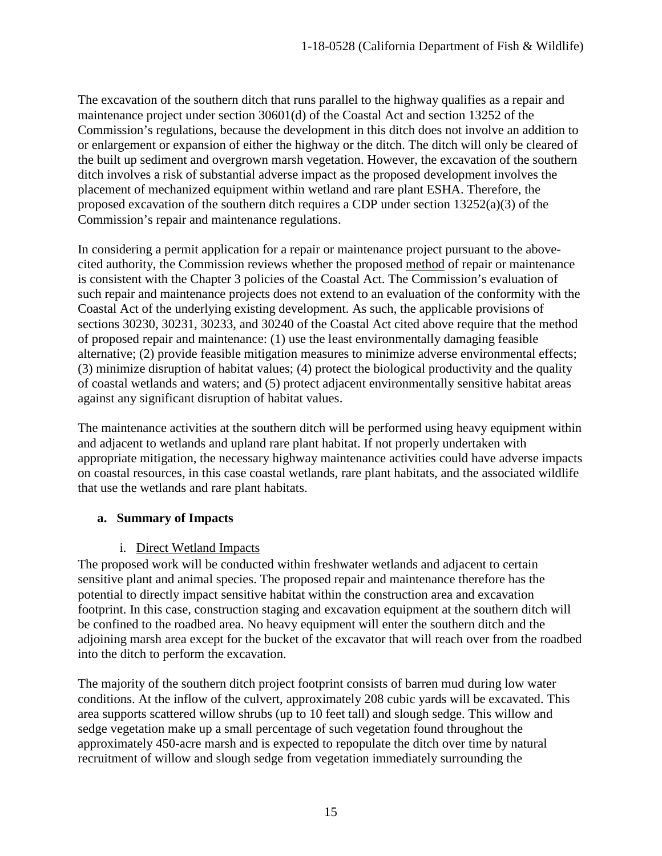The excavation of the southern ditch that runs parallel to the highway qualifies as a repair and maintenance project under section 30601(d) of the Coastal Act and section 13252 of the Commission's regulations, because the development in this ditch does not involve an addition to or enlargement or expansion of either the highway or the ditch. The ditch will only be cleared of the built up sediment and overgrown marsh vegetation. However, the excavation of the southern ditch involves a risk of substantial adverse impact as the proposed development involves the placement of mechanized equipment within wetland and rare plant ESHA. Therefore, the proposed excavation of the southern ditch requires a CDP under section  $13252(a)(3)$  of the Commission's repair and maintenance regulations.

In considering a permit application for a repair or maintenance project pursuant to the abovecited authority, the Commission reviews whether the proposed method of repair or maintenance is consistent with the Chapter 3 policies of the Coastal Act. The Commission's evaluation of such repair and maintenance projects does not extend to an evaluation of the conformity with the Coastal Act of the underlying existing development. As such, the applicable provisions of sections 30230, 30231, 30233, and 30240 of the Coastal Act cited above require that the method of proposed repair and maintenance: (1) use the least environmentally damaging feasible alternative; (2) provide feasible mitigation measures to minimize adverse environmental effects; (3) minimize disruption of habitat values; (4) protect the biological productivity and the quality of coastal wetlands and waters; and (5) protect adjacent environmentally sensitive habitat areas against any significant disruption of habitat values.

The maintenance activities at the southern ditch will be performed using heavy equipment within and adjacent to wetlands and upland rare plant habitat. If not properly undertaken with appropriate mitigation, the necessary highway maintenance activities could have adverse impacts on coastal resources, in this case coastal wetlands, rare plant habitats, and the associated wildlife that use the wetlands and rare plant habitats.

#### **a. Summary of Impacts**

#### i. Direct Wetland Impacts

The proposed work will be conducted within freshwater wetlands and adjacent to certain sensitive plant and animal species. The proposed repair and maintenance therefore has the potential to directly impact sensitive habitat within the construction area and excavation footprint. In this case, construction staging and excavation equipment at the southern ditch will be confined to the roadbed area. No heavy equipment will enter the southern ditch and the adjoining marsh area except for the bucket of the excavator that will reach over from the roadbed into the ditch to perform the excavation.

The majority of the southern ditch project footprint consists of barren mud during low water conditions. At the inflow of the culvert, approximately 208 cubic yards will be excavated. This area supports scattered willow shrubs (up to 10 feet tall) and slough sedge. This willow and sedge vegetation make up a small percentage of such vegetation found throughout the approximately 450-acre marsh and is expected to repopulate the ditch over time by natural recruitment of willow and slough sedge from vegetation immediately surrounding the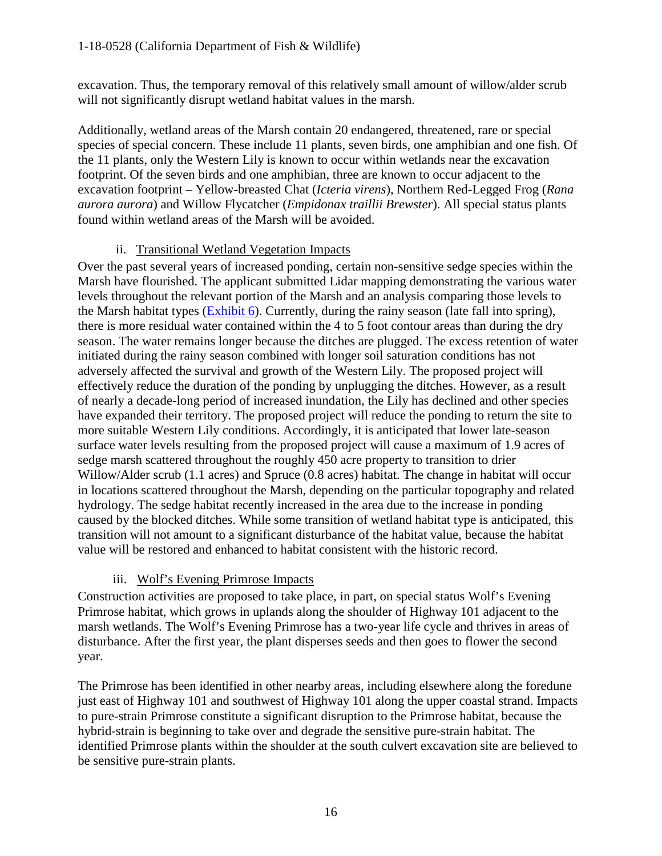excavation. Thus, the temporary removal of this relatively small amount of willow/alder scrub will not significantly disrupt wetland habitat values in the marsh.

Additionally, wetland areas of the Marsh contain 20 endangered, threatened, rare or special species of special concern. These include 11 plants, seven birds, one amphibian and one fish. Of the 11 plants, only the Western Lily is known to occur within wetlands near the excavation footprint. Of the seven birds and one amphibian, three are known to occur adjacent to the excavation footprint – Yellow-breasted Chat (*Icteria virens*), Northern Red-Legged Frog (*Rana aurora aurora*) and Willow Flycatcher (*Empidonax traillii Brewster*). All special status plants found within wetland areas of the Marsh will be avoided.

#### ii. Transitional Wetland Vegetation Impacts

Over the past several years of increased ponding, certain non-sensitive sedge species within the Marsh have flourished. The applicant submitted Lidar mapping demonstrating the various water levels throughout the relevant portion of the Marsh and an analysis comparing those levels to the Marsh habitat types [\(Exhibit 6\)](https://documents.coastal.ca.gov/reports/2018/8/w10a/w10a-8-2018-exhibits.pdf). Currently, during the rainy season (late fall into spring), there is more residual water contained within the 4 to 5 foot contour areas than during the dry season. The water remains longer because the ditches are plugged. The excess retention of water initiated during the rainy season combined with longer soil saturation conditions has not adversely affected the survival and growth of the Western Lily. The proposed project will effectively reduce the duration of the ponding by unplugging the ditches. However, as a result of nearly a decade-long period of increased inundation, the Lily has declined and other species have expanded their territory. The proposed project will reduce the ponding to return the site to more suitable Western Lily conditions. Accordingly, it is anticipated that lower late-season surface water levels resulting from the proposed project will cause a maximum of 1.9 acres of sedge marsh scattered throughout the roughly 450 acre property to transition to drier Willow/Alder scrub (1.1 acres) and Spruce (0.8 acres) habitat. The change in habitat will occur in locations scattered throughout the Marsh, depending on the particular topography and related hydrology. The sedge habitat recently increased in the area due to the increase in ponding caused by the blocked ditches. While some transition of wetland habitat type is anticipated, this transition will not amount to a significant disturbance of the habitat value, because the habitat value will be restored and enhanced to habitat consistent with the historic record.

#### iii. Wolf's Evening Primrose Impacts

Construction activities are proposed to take place, in part, on special status Wolf's Evening Primrose habitat, which grows in uplands along the shoulder of Highway 101 adjacent to the marsh wetlands. The Wolf's Evening Primrose has a two-year life cycle and thrives in areas of disturbance. After the first year, the plant disperses seeds and then goes to flower the second year.

The Primrose has been identified in other nearby areas, including elsewhere along the foredune just east of Highway 101 and southwest of Highway 101 along the upper coastal strand. Impacts to pure-strain Primrose constitute a significant disruption to the Primrose habitat, because the hybrid-strain is beginning to take over and degrade the sensitive pure-strain habitat. The identified Primrose plants within the shoulder at the south culvert excavation site are believed to be sensitive pure-strain plants.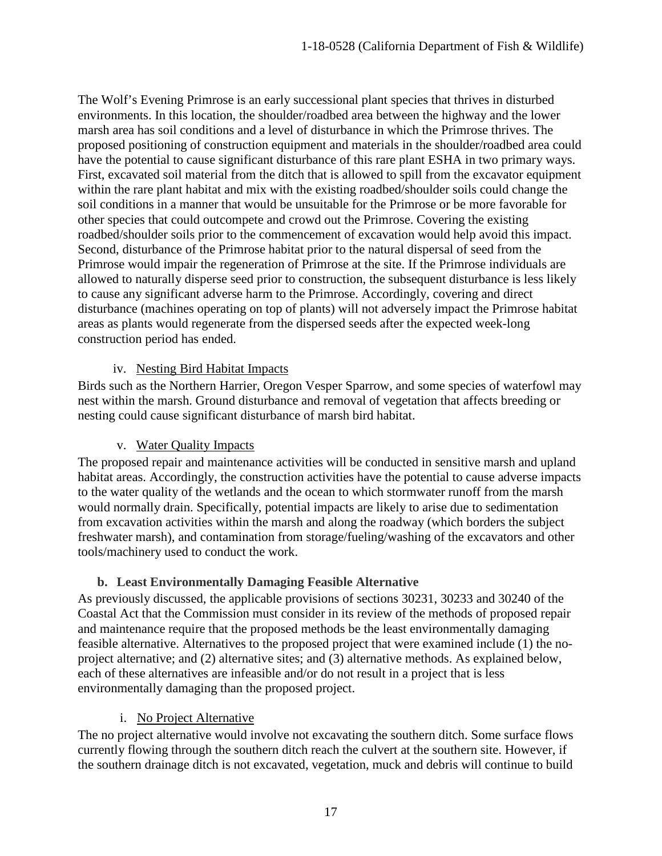The Wolf's Evening Primrose is an early successional plant species that thrives in disturbed environments. In this location, the shoulder/roadbed area between the highway and the lower marsh area has soil conditions and a level of disturbance in which the Primrose thrives. The proposed positioning of construction equipment and materials in the shoulder/roadbed area could have the potential to cause significant disturbance of this rare plant ESHA in two primary ways. First, excavated soil material from the ditch that is allowed to spill from the excavator equipment within the rare plant habitat and mix with the existing roadbed/shoulder soils could change the soil conditions in a manner that would be unsuitable for the Primrose or be more favorable for other species that could outcompete and crowd out the Primrose. Covering the existing roadbed/shoulder soils prior to the commencement of excavation would help avoid this impact. Second, disturbance of the Primrose habitat prior to the natural dispersal of seed from the Primrose would impair the regeneration of Primrose at the site. If the Primrose individuals are allowed to naturally disperse seed prior to construction, the subsequent disturbance is less likely to cause any significant adverse harm to the Primrose. Accordingly, covering and direct disturbance (machines operating on top of plants) will not adversely impact the Primrose habitat areas as plants would regenerate from the dispersed seeds after the expected week-long construction period has ended.

#### iv. Nesting Bird Habitat Impacts

Birds such as the Northern Harrier, Oregon Vesper Sparrow, and some species of waterfowl may nest within the marsh. Ground disturbance and removal of vegetation that affects breeding or nesting could cause significant disturbance of marsh bird habitat.

#### v. Water Quality Impacts

The proposed repair and maintenance activities will be conducted in sensitive marsh and upland habitat areas. Accordingly, the construction activities have the potential to cause adverse impacts to the water quality of the wetlands and the ocean to which stormwater runoff from the marsh would normally drain. Specifically, potential impacts are likely to arise due to sedimentation from excavation activities within the marsh and along the roadway (which borders the subject freshwater marsh), and contamination from storage/fueling/washing of the excavators and other tools/machinery used to conduct the work.

#### **b. Least Environmentally Damaging Feasible Alternative**

As previously discussed, the applicable provisions of sections 30231, 30233 and 30240 of the Coastal Act that the Commission must consider in its review of the methods of proposed repair and maintenance require that the proposed methods be the least environmentally damaging feasible alternative. Alternatives to the proposed project that were examined include (1) the noproject alternative; and (2) alternative sites; and (3) alternative methods. As explained below, each of these alternatives are infeasible and/or do not result in a project that is less environmentally damaging than the proposed project.

#### i. No Project Alternative

The no project alternative would involve not excavating the southern ditch. Some surface flows currently flowing through the southern ditch reach the culvert at the southern site. However, if the southern drainage ditch is not excavated, vegetation, muck and debris will continue to build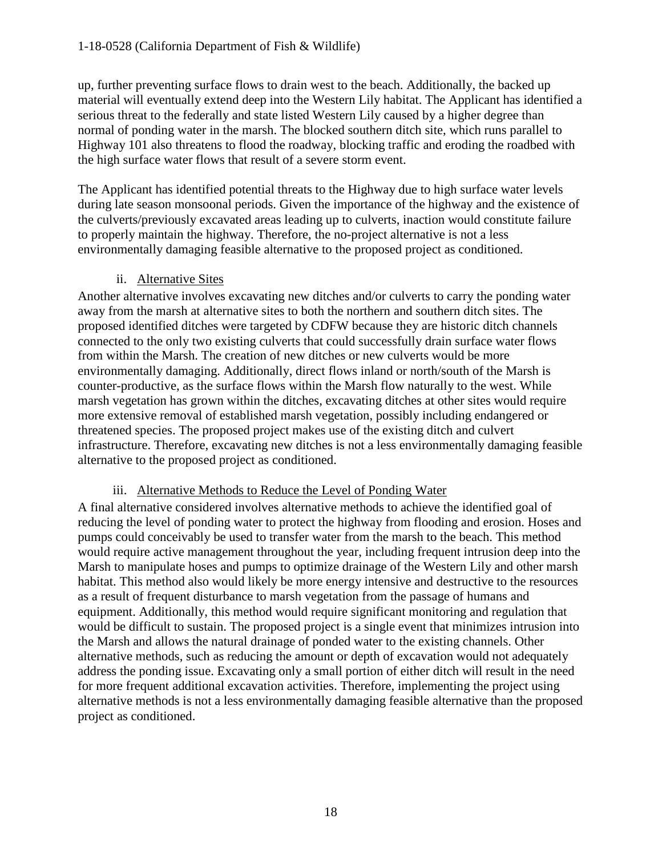up, further preventing surface flows to drain west to the beach. Additionally, the backed up material will eventually extend deep into the Western Lily habitat. The Applicant has identified a serious threat to the federally and state listed Western Lily caused by a higher degree than normal of ponding water in the marsh. The blocked southern ditch site, which runs parallel to Highway 101 also threatens to flood the roadway, blocking traffic and eroding the roadbed with the high surface water flows that result of a severe storm event.

The Applicant has identified potential threats to the Highway due to high surface water levels during late season monsoonal periods. Given the importance of the highway and the existence of the culverts/previously excavated areas leading up to culverts, inaction would constitute failure to properly maintain the highway. Therefore, the no-project alternative is not a less environmentally damaging feasible alternative to the proposed project as conditioned.

#### ii. Alternative Sites

Another alternative involves excavating new ditches and/or culverts to carry the ponding water away from the marsh at alternative sites to both the northern and southern ditch sites. The proposed identified ditches were targeted by CDFW because they are historic ditch channels connected to the only two existing culverts that could successfully drain surface water flows from within the Marsh. The creation of new ditches or new culverts would be more environmentally damaging. Additionally, direct flows inland or north/south of the Marsh is counter-productive, as the surface flows within the Marsh flow naturally to the west. While marsh vegetation has grown within the ditches, excavating ditches at other sites would require more extensive removal of established marsh vegetation, possibly including endangered or threatened species. The proposed project makes use of the existing ditch and culvert infrastructure. Therefore, excavating new ditches is not a less environmentally damaging feasible alternative to the proposed project as conditioned.

#### iii. Alternative Methods to Reduce the Level of Ponding Water

A final alternative considered involves alternative methods to achieve the identified goal of reducing the level of ponding water to protect the highway from flooding and erosion. Hoses and pumps could conceivably be used to transfer water from the marsh to the beach. This method would require active management throughout the year, including frequent intrusion deep into the Marsh to manipulate hoses and pumps to optimize drainage of the Western Lily and other marsh habitat. This method also would likely be more energy intensive and destructive to the resources as a result of frequent disturbance to marsh vegetation from the passage of humans and equipment. Additionally, this method would require significant monitoring and regulation that would be difficult to sustain. The proposed project is a single event that minimizes intrusion into the Marsh and allows the natural drainage of ponded water to the existing channels. Other alternative methods, such as reducing the amount or depth of excavation would not adequately address the ponding issue. Excavating only a small portion of either ditch will result in the need for more frequent additional excavation activities. Therefore, implementing the project using alternative methods is not a less environmentally damaging feasible alternative than the proposed project as conditioned.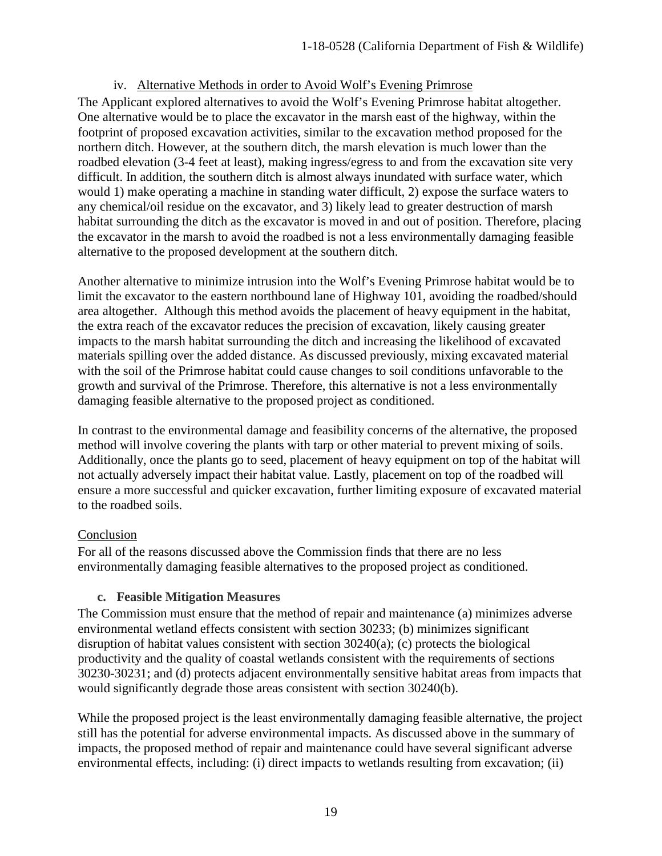#### iv. Alternative Methods in order to Avoid Wolf's Evening Primrose

The Applicant explored alternatives to avoid the Wolf's Evening Primrose habitat altogether. One alternative would be to place the excavator in the marsh east of the highway, within the footprint of proposed excavation activities, similar to the excavation method proposed for the northern ditch. However, at the southern ditch, the marsh elevation is much lower than the roadbed elevation (3-4 feet at least), making ingress/egress to and from the excavation site very difficult. In addition, the southern ditch is almost always inundated with surface water, which would 1) make operating a machine in standing water difficult, 2) expose the surface waters to any chemical/oil residue on the excavator, and 3) likely lead to greater destruction of marsh habitat surrounding the ditch as the excavator is moved in and out of position. Therefore, placing the excavator in the marsh to avoid the roadbed is not a less environmentally damaging feasible alternative to the proposed development at the southern ditch.

Another alternative to minimize intrusion into the Wolf's Evening Primrose habitat would be to limit the excavator to the eastern northbound lane of Highway 101, avoiding the roadbed/should area altogether. Although this method avoids the placement of heavy equipment in the habitat, the extra reach of the excavator reduces the precision of excavation, likely causing greater impacts to the marsh habitat surrounding the ditch and increasing the likelihood of excavated materials spilling over the added distance. As discussed previously, mixing excavated material with the soil of the Primrose habitat could cause changes to soil conditions unfavorable to the growth and survival of the Primrose. Therefore, this alternative is not a less environmentally damaging feasible alternative to the proposed project as conditioned.

In contrast to the environmental damage and feasibility concerns of the alternative, the proposed method will involve covering the plants with tarp or other material to prevent mixing of soils. Additionally, once the plants go to seed, placement of heavy equipment on top of the habitat will not actually adversely impact their habitat value. Lastly, placement on top of the roadbed will ensure a more successful and quicker excavation, further limiting exposure of excavated material to the roadbed soils.

#### Conclusion

For all of the reasons discussed above the Commission finds that there are no less environmentally damaging feasible alternatives to the proposed project as conditioned.

#### **c. Feasible Mitigation Measures**

The Commission must ensure that the method of repair and maintenance (a) minimizes adverse environmental wetland effects consistent with section 30233; (b) minimizes significant disruption of habitat values consistent with section 30240(a); (c) protects the biological productivity and the quality of coastal wetlands consistent with the requirements of sections 30230-30231; and (d) protects adjacent environmentally sensitive habitat areas from impacts that would significantly degrade those areas consistent with section 30240(b).

While the proposed project is the least environmentally damaging feasible alternative, the project still has the potential for adverse environmental impacts. As discussed above in the summary of impacts, the proposed method of repair and maintenance could have several significant adverse environmental effects, including: (i) direct impacts to wetlands resulting from excavation; (ii)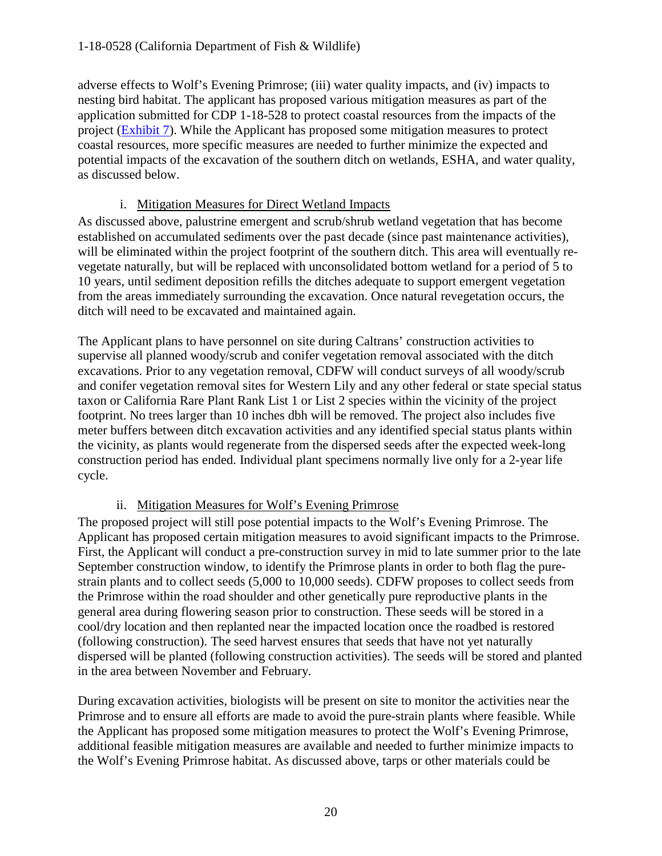adverse effects to Wolf's Evening Primrose; (iii) water quality impacts, and (iv) impacts to nesting bird habitat. The applicant has proposed various mitigation measures as part of the application submitted for CDP 1-18-528 to protect coastal resources from the impacts of the project [\(Exhibit 7\)](https://documents.coastal.ca.gov/reports/2018/8/w10a/w10a-8-2018-exhibits.pdf). While the Applicant has proposed some mitigation measures to protect coastal resources, more specific measures are needed to further minimize the expected and potential impacts of the excavation of the southern ditch on wetlands, ESHA, and water quality, as discussed below.

#### i. Mitigation Measures for Direct Wetland Impacts

As discussed above, palustrine emergent and scrub/shrub wetland vegetation that has become established on accumulated sediments over the past decade (since past maintenance activities), will be eliminated within the project footprint of the southern ditch. This area will eventually revegetate naturally, but will be replaced with unconsolidated bottom wetland for a period of 5 to 10 years, until sediment deposition refills the ditches adequate to support emergent vegetation from the areas immediately surrounding the excavation. Once natural revegetation occurs, the ditch will need to be excavated and maintained again.

The Applicant plans to have personnel on site during Caltrans' construction activities to supervise all planned woody/scrub and conifer vegetation removal associated with the ditch excavations. Prior to any vegetation removal, CDFW will conduct surveys of all woody/scrub and conifer vegetation removal sites for Western Lily and any other federal or state special status taxon or California Rare Plant Rank List 1 or List 2 species within the vicinity of the project footprint. No trees larger than 10 inches dbh will be removed. The project also includes five meter buffers between ditch excavation activities and any identified special status plants within the vicinity, as plants would regenerate from the dispersed seeds after the expected week-long construction period has ended. Individual plant specimens normally live only for a 2-year life cycle.

#### ii. Mitigation Measures for Wolf's Evening Primrose

The proposed project will still pose potential impacts to the Wolf's Evening Primrose. The Applicant has proposed certain mitigation measures to avoid significant impacts to the Primrose. First, the Applicant will conduct a pre-construction survey in mid to late summer prior to the late September construction window, to identify the Primrose plants in order to both flag the purestrain plants and to collect seeds (5,000 to 10,000 seeds). CDFW proposes to collect seeds from the Primrose within the road shoulder and other genetically pure reproductive plants in the general area during flowering season prior to construction. These seeds will be stored in a cool/dry location and then replanted near the impacted location once the roadbed is restored (following construction). The seed harvest ensures that seeds that have not yet naturally dispersed will be planted (following construction activities). The seeds will be stored and planted in the area between November and February.

During excavation activities, biologists will be present on site to monitor the activities near the Primrose and to ensure all efforts are made to avoid the pure-strain plants where feasible. While the Applicant has proposed some mitigation measures to protect the Wolf's Evening Primrose, additional feasible mitigation measures are available and needed to further minimize impacts to the Wolf's Evening Primrose habitat. As discussed above, tarps or other materials could be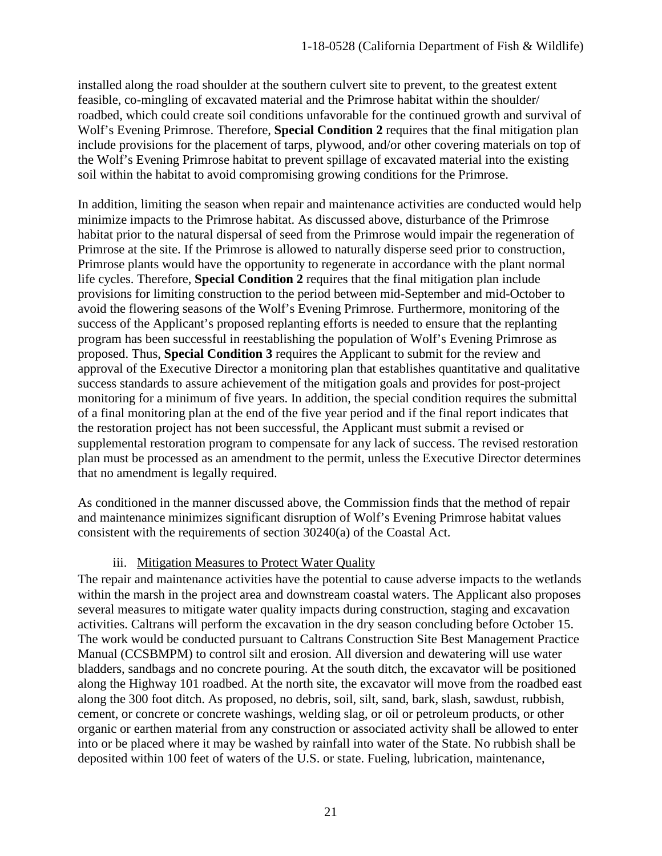installed along the road shoulder at the southern culvert site to prevent, to the greatest extent feasible, co-mingling of excavated material and the Primrose habitat within the shoulder/ roadbed, which could create soil conditions unfavorable for the continued growth and survival of Wolf's Evening Primrose. Therefore, **Special Condition 2** requires that the final mitigation plan include provisions for the placement of tarps, plywood, and/or other covering materials on top of the Wolf's Evening Primrose habitat to prevent spillage of excavated material into the existing soil within the habitat to avoid compromising growing conditions for the Primrose.

In addition, limiting the season when repair and maintenance activities are conducted would help minimize impacts to the Primrose habitat. As discussed above, disturbance of the Primrose habitat prior to the natural dispersal of seed from the Primrose would impair the regeneration of Primrose at the site. If the Primrose is allowed to naturally disperse seed prior to construction, Primrose plants would have the opportunity to regenerate in accordance with the plant normal life cycles. Therefore, **Special Condition 2** requires that the final mitigation plan include provisions for limiting construction to the period between mid-September and mid-October to avoid the flowering seasons of the Wolf's Evening Primrose. Furthermore, monitoring of the success of the Applicant's proposed replanting efforts is needed to ensure that the replanting program has been successful in reestablishing the population of Wolf's Evening Primrose as proposed. Thus, **Special Condition 3** requires the Applicant to submit for the review and approval of the Executive Director a monitoring plan that establishes quantitative and qualitative success standards to assure achievement of the mitigation goals and provides for post-project monitoring for a minimum of five years. In addition, the special condition requires the submittal of a final monitoring plan at the end of the five year period and if the final report indicates that the restoration project has not been successful, the Applicant must submit a revised or supplemental restoration program to compensate for any lack of success. The revised restoration plan must be processed as an amendment to the permit, unless the Executive Director determines that no amendment is legally required.

As conditioned in the manner discussed above, the Commission finds that the method of repair and maintenance minimizes significant disruption of Wolf's Evening Primrose habitat values consistent with the requirements of section 30240(a) of the Coastal Act.

#### iii. Mitigation Measures to Protect Water Quality

The repair and maintenance activities have the potential to cause adverse impacts to the wetlands within the marsh in the project area and downstream coastal waters. The Applicant also proposes several measures to mitigate water quality impacts during construction, staging and excavation activities. Caltrans will perform the excavation in the dry season concluding before October 15. The work would be conducted pursuant to Caltrans Construction Site Best Management Practice Manual (CCSBMPM) to control silt and erosion. All diversion and dewatering will use water bladders, sandbags and no concrete pouring. At the south ditch, the excavator will be positioned along the Highway 101 roadbed. At the north site, the excavator will move from the roadbed east along the 300 foot ditch. As proposed, no debris, soil, silt, sand, bark, slash, sawdust, rubbish, cement, or concrete or concrete washings, welding slag, or oil or petroleum products, or other organic or earthen material from any construction or associated activity shall be allowed to enter into or be placed where it may be washed by rainfall into water of the State. No rubbish shall be deposited within 100 feet of waters of the U.S. or state. Fueling, lubrication, maintenance,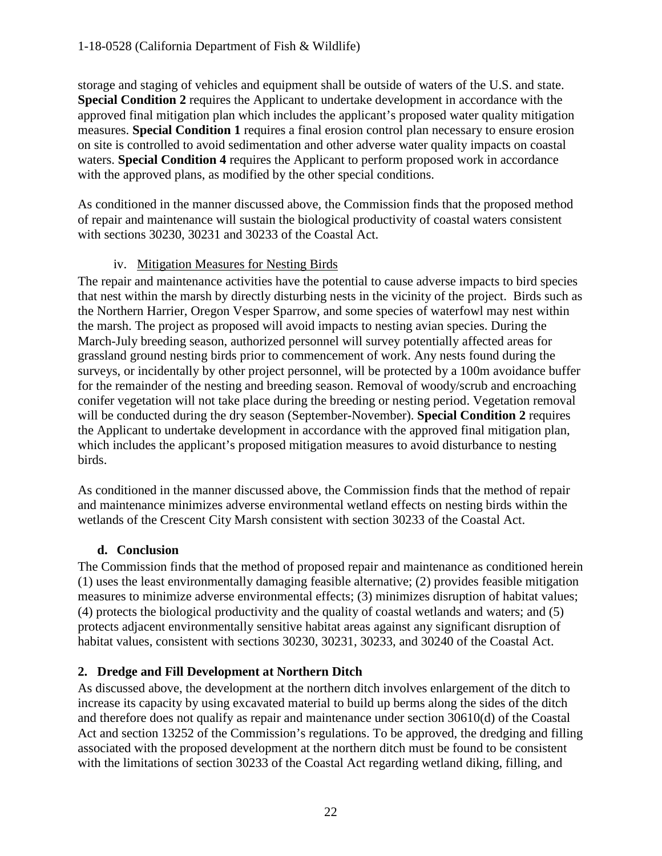storage and staging of vehicles and equipment shall be outside of waters of the U.S. and state. **Special Condition 2** requires the Applicant to undertake development in accordance with the approved final mitigation plan which includes the applicant's proposed water quality mitigation measures. **Special Condition 1** requires a final erosion control plan necessary to ensure erosion on site is controlled to avoid sedimentation and other adverse water quality impacts on coastal waters. **Special Condition 4** requires the Applicant to perform proposed work in accordance with the approved plans, as modified by the other special conditions.

As conditioned in the manner discussed above, the Commission finds that the proposed method of repair and maintenance will sustain the biological productivity of coastal waters consistent with sections 30230, 30231 and 30233 of the Coastal Act.

#### iv. Mitigation Measures for Nesting Birds

The repair and maintenance activities have the potential to cause adverse impacts to bird species that nest within the marsh by directly disturbing nests in the vicinity of the project. Birds such as the Northern Harrier, Oregon Vesper Sparrow, and some species of waterfowl may nest within the marsh. The project as proposed will avoid impacts to nesting avian species. During the March-July breeding season, authorized personnel will survey potentially affected areas for grassland ground nesting birds prior to commencement of work. Any nests found during the surveys, or incidentally by other project personnel, will be protected by a 100m avoidance buffer for the remainder of the nesting and breeding season. Removal of woody/scrub and encroaching conifer vegetation will not take place during the breeding or nesting period. Vegetation removal will be conducted during the dry season (September-November). **Special Condition 2** requires the Applicant to undertake development in accordance with the approved final mitigation plan, which includes the applicant's proposed mitigation measures to avoid disturbance to nesting birds.

As conditioned in the manner discussed above, the Commission finds that the method of repair and maintenance minimizes adverse environmental wetland effects on nesting birds within the wetlands of the Crescent City Marsh consistent with section 30233 of the Coastal Act.

#### **d. Conclusion**

The Commission finds that the method of proposed repair and maintenance as conditioned herein (1) uses the least environmentally damaging feasible alternative; (2) provides feasible mitigation measures to minimize adverse environmental effects; (3) minimizes disruption of habitat values; (4) protects the biological productivity and the quality of coastal wetlands and waters; and (5) protects adjacent environmentally sensitive habitat areas against any significant disruption of habitat values, consistent with sections 30230, 30231, 30233, and 30240 of the Coastal Act.

#### **2. Dredge and Fill Development at Northern Ditch**

As discussed above, the development at the northern ditch involves enlargement of the ditch to increase its capacity by using excavated material to build up berms along the sides of the ditch and therefore does not qualify as repair and maintenance under section 30610(d) of the Coastal Act and section 13252 of the Commission's regulations. To be approved, the dredging and filling associated with the proposed development at the northern ditch must be found to be consistent with the limitations of section 30233 of the Coastal Act regarding wetland diking, filling, and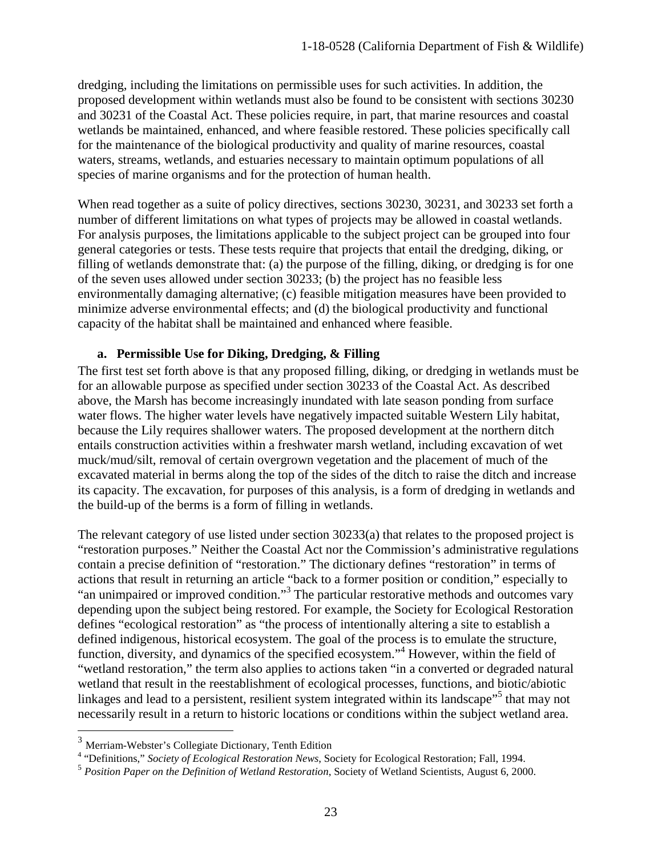dredging, including the limitations on permissible uses for such activities. In addition, the proposed development within wetlands must also be found to be consistent with sections 30230 and 30231 of the Coastal Act. These policies require, in part, that marine resources and coastal wetlands be maintained, enhanced, and where feasible restored. These policies specifically call for the maintenance of the biological productivity and quality of marine resources, coastal waters, streams, wetlands, and estuaries necessary to maintain optimum populations of all species of marine organisms and for the protection of human health.

When read together as a suite of policy directives, sections 30230, 30231, and 30233 set forth a number of different limitations on what types of projects may be allowed in coastal wetlands. For analysis purposes, the limitations applicable to the subject project can be grouped into four general categories or tests. These tests require that projects that entail the dredging, diking, or filling of wetlands demonstrate that: (a) the purpose of the filling, diking, or dredging is for one of the seven uses allowed under section 30233; (b) the project has no feasible less environmentally damaging alternative; (c) feasible mitigation measures have been provided to minimize adverse environmental effects; and (d) the biological productivity and functional capacity of the habitat shall be maintained and enhanced where feasible.

#### **a. Permissible Use for Diking, Dredging, & Filling**

The first test set forth above is that any proposed filling, diking, or dredging in wetlands must be for an allowable purpose as specified under section 30233 of the Coastal Act. As described above, the Marsh has become increasingly inundated with late season ponding from surface water flows. The higher water levels have negatively impacted suitable Western Lily habitat, because the Lily requires shallower waters. The proposed development at the northern ditch entails construction activities within a freshwater marsh wetland, including excavation of wet muck/mud/silt, removal of certain overgrown vegetation and the placement of much of the excavated material in berms along the top of the sides of the ditch to raise the ditch and increase its capacity. The excavation, for purposes of this analysis, is a form of dredging in wetlands and the build-up of the berms is a form of filling in wetlands.

The relevant category of use listed under section 30233(a) that relates to the proposed project is "restoration purposes." Neither the Coastal Act nor the Commission's administrative regulations contain a precise definition of "restoration." The dictionary defines "restoration" in terms of actions that result in returning an article "back to a former position or condition," especially to "an unimpaired or improved condition."<sup>3</sup> The particular restorative methods and outcomes vary depending upon the subject being restored. For example, the Society for Ecological Restoration defines "ecological restoration" as "the process of intentionally altering a site to establish a defined indigenous, historical ecosystem. The goal of the process is to emulate the structure, function, diversity, and dynamics of the specified ecosystem."<sup>4</sup> However, within the field of "wetland restoration," the term also applies to actions taken "in a converted or degraded natural wetland that result in the reestablishment of ecological processes, functions, and biotic/abiotic linkages and lead to a persistent, resilient system integrated within its landscape<sup>55</sup> that may not necessarily result in a return to historic locations or conditions within the subject wetland area.

<sup>&</sup>lt;sup>3</sup> Merriam-Webster's Collegiate Dictionary, Tenth Edition

<sup>&</sup>lt;sup>4</sup> "Definitions," *Society of Ecological Restoration News*, Society for Ecological Restoration; Fall, 1994.

<sup>5</sup> *Position Paper on the Definition of Wetland Restoration*, Society of Wetland Scientists, August 6, 2000.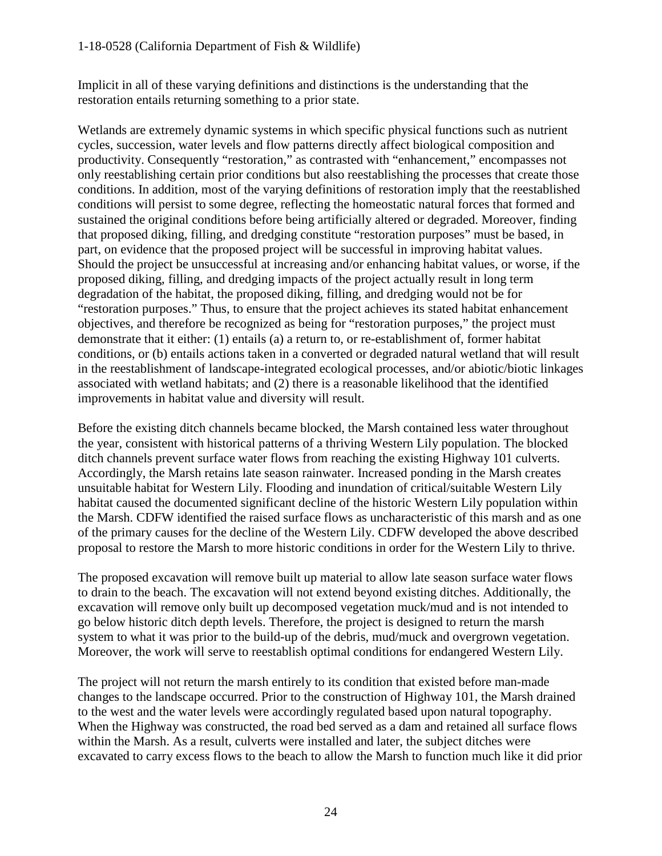Implicit in all of these varying definitions and distinctions is the understanding that the restoration entails returning something to a prior state.

Wetlands are extremely dynamic systems in which specific physical functions such as nutrient cycles, succession, water levels and flow patterns directly affect biological composition and productivity. Consequently "restoration," as contrasted with "enhancement," encompasses not only reestablishing certain prior conditions but also reestablishing the processes that create those conditions. In addition, most of the varying definitions of restoration imply that the reestablished conditions will persist to some degree, reflecting the homeostatic natural forces that formed and sustained the original conditions before being artificially altered or degraded. Moreover, finding that proposed diking, filling, and dredging constitute "restoration purposes" must be based, in part, on evidence that the proposed project will be successful in improving habitat values. Should the project be unsuccessful at increasing and/or enhancing habitat values, or worse, if the proposed diking, filling, and dredging impacts of the project actually result in long term degradation of the habitat, the proposed diking, filling, and dredging would not be for "restoration purposes." Thus, to ensure that the project achieves its stated habitat enhancement objectives, and therefore be recognized as being for "restoration purposes," the project must demonstrate that it either: (1) entails (a) a return to, or re-establishment of, former habitat conditions, or (b) entails actions taken in a converted or degraded natural wetland that will result in the reestablishment of landscape-integrated ecological processes, and/or abiotic/biotic linkages associated with wetland habitats; and (2) there is a reasonable likelihood that the identified improvements in habitat value and diversity will result.

Before the existing ditch channels became blocked, the Marsh contained less water throughout the year, consistent with historical patterns of a thriving Western Lily population. The blocked ditch channels prevent surface water flows from reaching the existing Highway 101 culverts. Accordingly, the Marsh retains late season rainwater. Increased ponding in the Marsh creates unsuitable habitat for Western Lily. Flooding and inundation of critical/suitable Western Lily habitat caused the documented significant decline of the historic Western Lily population within the Marsh. CDFW identified the raised surface flows as uncharacteristic of this marsh and as one of the primary causes for the decline of the Western Lily. CDFW developed the above described proposal to restore the Marsh to more historic conditions in order for the Western Lily to thrive.

The proposed excavation will remove built up material to allow late season surface water flows to drain to the beach. The excavation will not extend beyond existing ditches. Additionally, the excavation will remove only built up decomposed vegetation muck/mud and is not intended to go below historic ditch depth levels. Therefore, the project is designed to return the marsh system to what it was prior to the build-up of the debris, mud/muck and overgrown vegetation. Moreover, the work will serve to reestablish optimal conditions for endangered Western Lily.

The project will not return the marsh entirely to its condition that existed before man-made changes to the landscape occurred. Prior to the construction of Highway 101, the Marsh drained to the west and the water levels were accordingly regulated based upon natural topography. When the Highway was constructed, the road bed served as a dam and retained all surface flows within the Marsh. As a result, culverts were installed and later, the subject ditches were excavated to carry excess flows to the beach to allow the Marsh to function much like it did prior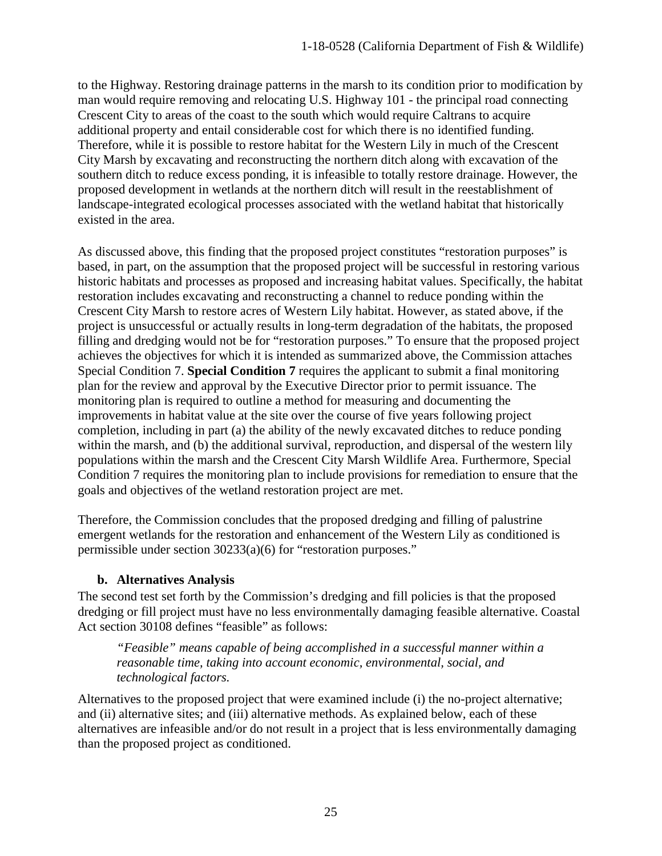to the Highway. Restoring drainage patterns in the marsh to its condition prior to modification by man would require removing and relocating U.S. Highway 101 - the principal road connecting Crescent City to areas of the coast to the south which would require Caltrans to acquire additional property and entail considerable cost for which there is no identified funding. Therefore, while it is possible to restore habitat for the Western Lily in much of the Crescent City Marsh by excavating and reconstructing the northern ditch along with excavation of the southern ditch to reduce excess ponding, it is infeasible to totally restore drainage. However, the proposed development in wetlands at the northern ditch will result in the reestablishment of landscape-integrated ecological processes associated with the wetland habitat that historically existed in the area.

As discussed above, this finding that the proposed project constitutes "restoration purposes" is based, in part, on the assumption that the proposed project will be successful in restoring various historic habitats and processes as proposed and increasing habitat values. Specifically, the habitat restoration includes excavating and reconstructing a channel to reduce ponding within the Crescent City Marsh to restore acres of Western Lily habitat. However, as stated above, if the project is unsuccessful or actually results in long-term degradation of the habitats, the proposed filling and dredging would not be for "restoration purposes." To ensure that the proposed project achieves the objectives for which it is intended as summarized above, the Commission attaches Special Condition 7. **Special Condition 7** requires the applicant to submit a final monitoring plan for the review and approval by the Executive Director prior to permit issuance. The monitoring plan is required to outline a method for measuring and documenting the improvements in habitat value at the site over the course of five years following project completion, including in part (a) the ability of the newly excavated ditches to reduce ponding within the marsh, and (b) the additional survival, reproduction, and dispersal of the western lily populations within the marsh and the Crescent City Marsh Wildlife Area. Furthermore, Special Condition 7 requires the monitoring plan to include provisions for remediation to ensure that the goals and objectives of the wetland restoration project are met.

Therefore, the Commission concludes that the proposed dredging and filling of palustrine emergent wetlands for the restoration and enhancement of the Western Lily as conditioned is permissible under section 30233(a)(6) for "restoration purposes."

#### **b. Alternatives Analysis**

The second test set forth by the Commission's dredging and fill policies is that the proposed dredging or fill project must have no less environmentally damaging feasible alternative. Coastal Act section 30108 defines "feasible" as follows:

*"Feasible" means capable of being accomplished in a successful manner within a reasonable time, taking into account economic, environmental, social, and technological factors.* 

Alternatives to the proposed project that were examined include (i) the no-project alternative; and (ii) alternative sites; and (iii) alternative methods. As explained below, each of these alternatives are infeasible and/or do not result in a project that is less environmentally damaging than the proposed project as conditioned.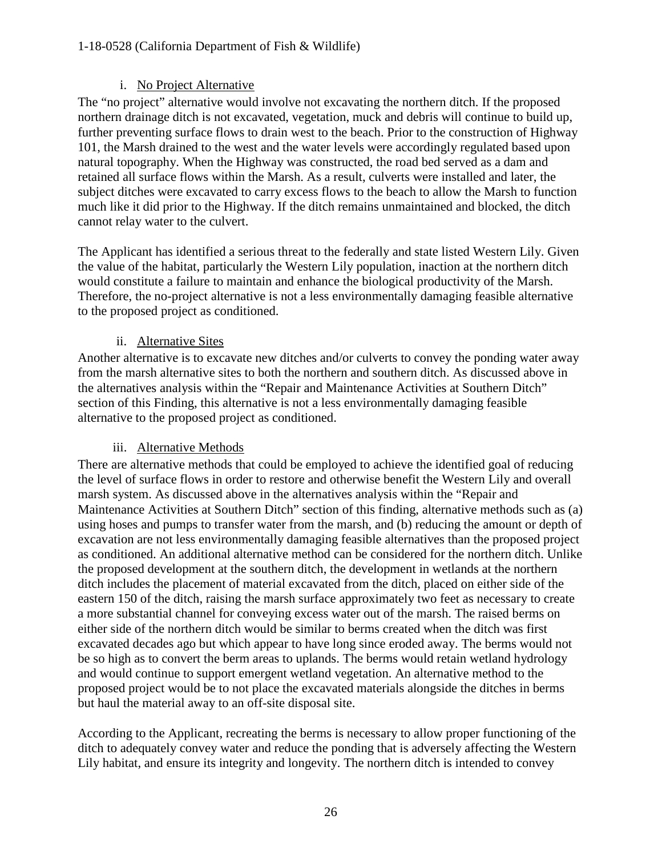#### 1-18-0528 (California Department of Fish & Wildlife)

#### i. No Project Alternative

The "no project" alternative would involve not excavating the northern ditch. If the proposed northern drainage ditch is not excavated, vegetation, muck and debris will continue to build up, further preventing surface flows to drain west to the beach. Prior to the construction of Highway 101, the Marsh drained to the west and the water levels were accordingly regulated based upon natural topography. When the Highway was constructed, the road bed served as a dam and retained all surface flows within the Marsh. As a result, culverts were installed and later, the subject ditches were excavated to carry excess flows to the beach to allow the Marsh to function much like it did prior to the Highway. If the ditch remains unmaintained and blocked, the ditch cannot relay water to the culvert.

The Applicant has identified a serious threat to the federally and state listed Western Lily. Given the value of the habitat, particularly the Western Lily population, inaction at the northern ditch would constitute a failure to maintain and enhance the biological productivity of the Marsh. Therefore, the no-project alternative is not a less environmentally damaging feasible alternative to the proposed project as conditioned.

#### ii. Alternative Sites

Another alternative is to excavate new ditches and/or culverts to convey the ponding water away from the marsh alternative sites to both the northern and southern ditch. As discussed above in the alternatives analysis within the "Repair and Maintenance Activities at Southern Ditch" section of this Finding, this alternative is not a less environmentally damaging feasible alternative to the proposed project as conditioned.

#### iii. Alternative Methods

There are alternative methods that could be employed to achieve the identified goal of reducing the level of surface flows in order to restore and otherwise benefit the Western Lily and overall marsh system. As discussed above in the alternatives analysis within the "Repair and Maintenance Activities at Southern Ditch" section of this finding, alternative methods such as (a) using hoses and pumps to transfer water from the marsh, and (b) reducing the amount or depth of excavation are not less environmentally damaging feasible alternatives than the proposed project as conditioned. An additional alternative method can be considered for the northern ditch. Unlike the proposed development at the southern ditch, the development in wetlands at the northern ditch includes the placement of material excavated from the ditch, placed on either side of the eastern 150 of the ditch, raising the marsh surface approximately two feet as necessary to create a more substantial channel for conveying excess water out of the marsh. The raised berms on either side of the northern ditch would be similar to berms created when the ditch was first excavated decades ago but which appear to have long since eroded away. The berms would not be so high as to convert the berm areas to uplands. The berms would retain wetland hydrology and would continue to support emergent wetland vegetation. An alternative method to the proposed project would be to not place the excavated materials alongside the ditches in berms but haul the material away to an off-site disposal site.

According to the Applicant, recreating the berms is necessary to allow proper functioning of the ditch to adequately convey water and reduce the ponding that is adversely affecting the Western Lily habitat, and ensure its integrity and longevity. The northern ditch is intended to convey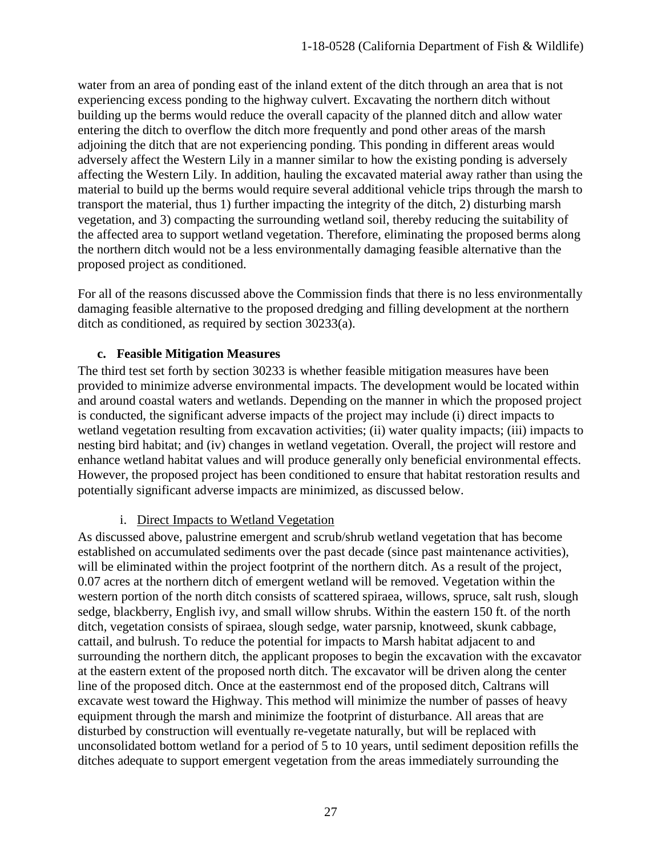water from an area of ponding east of the inland extent of the ditch through an area that is not experiencing excess ponding to the highway culvert. Excavating the northern ditch without building up the berms would reduce the overall capacity of the planned ditch and allow water entering the ditch to overflow the ditch more frequently and pond other areas of the marsh adjoining the ditch that are not experiencing ponding. This ponding in different areas would adversely affect the Western Lily in a manner similar to how the existing ponding is adversely affecting the Western Lily. In addition, hauling the excavated material away rather than using the material to build up the berms would require several additional vehicle trips through the marsh to transport the material, thus 1) further impacting the integrity of the ditch, 2) disturbing marsh vegetation, and 3) compacting the surrounding wetland soil, thereby reducing the suitability of the affected area to support wetland vegetation. Therefore, eliminating the proposed berms along the northern ditch would not be a less environmentally damaging feasible alternative than the proposed project as conditioned.

For all of the reasons discussed above the Commission finds that there is no less environmentally damaging feasible alternative to the proposed dredging and filling development at the northern ditch as conditioned, as required by section 30233(a).

#### **c. Feasible Mitigation Measures**

The third test set forth by section 30233 is whether feasible mitigation measures have been provided to minimize adverse environmental impacts. The development would be located within and around coastal waters and wetlands. Depending on the manner in which the proposed project is conducted, the significant adverse impacts of the project may include (i) direct impacts to wetland vegetation resulting from excavation activities; (ii) water quality impacts; (iii) impacts to nesting bird habitat; and (iv) changes in wetland vegetation. Overall, the project will restore and enhance wetland habitat values and will produce generally only beneficial environmental effects. However, the proposed project has been conditioned to ensure that habitat restoration results and potentially significant adverse impacts are minimized, as discussed below.

#### i. Direct Impacts to Wetland Vegetation

As discussed above, palustrine emergent and scrub/shrub wetland vegetation that has become established on accumulated sediments over the past decade (since past maintenance activities), will be eliminated within the project footprint of the northern ditch. As a result of the project, 0.07 acres at the northern ditch of emergent wetland will be removed. Vegetation within the western portion of the north ditch consists of scattered spiraea, willows, spruce, salt rush, slough sedge, blackberry, English ivy, and small willow shrubs. Within the eastern 150 ft. of the north ditch, vegetation consists of spiraea, slough sedge, water parsnip, knotweed, skunk cabbage, cattail, and bulrush. To reduce the potential for impacts to Marsh habitat adjacent to and surrounding the northern ditch, the applicant proposes to begin the excavation with the excavator at the eastern extent of the proposed north ditch. The excavator will be driven along the center line of the proposed ditch. Once at the easternmost end of the proposed ditch, Caltrans will excavate west toward the Highway. This method will minimize the number of passes of heavy equipment through the marsh and minimize the footprint of disturbance. All areas that are disturbed by construction will eventually re-vegetate naturally, but will be replaced with unconsolidated bottom wetland for a period of 5 to 10 years, until sediment deposition refills the ditches adequate to support emergent vegetation from the areas immediately surrounding the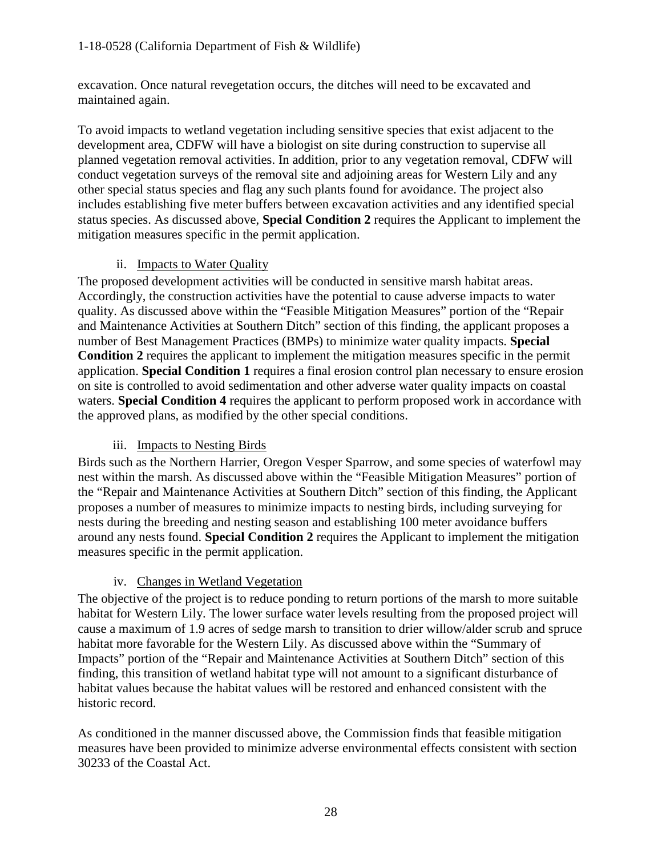excavation. Once natural revegetation occurs, the ditches will need to be excavated and maintained again.

To avoid impacts to wetland vegetation including sensitive species that exist adjacent to the development area, CDFW will have a biologist on site during construction to supervise all planned vegetation removal activities. In addition, prior to any vegetation removal, CDFW will conduct vegetation surveys of the removal site and adjoining areas for Western Lily and any other special status species and flag any such plants found for avoidance. The project also includes establishing five meter buffers between excavation activities and any identified special status species. As discussed above, **Special Condition 2** requires the Applicant to implement the mitigation measures specific in the permit application.

## ii. Impacts to Water Quality

The proposed development activities will be conducted in sensitive marsh habitat areas. Accordingly, the construction activities have the potential to cause adverse impacts to water quality. As discussed above within the "Feasible Mitigation Measures" portion of the "Repair and Maintenance Activities at Southern Ditch" section of this finding, the applicant proposes a number of Best Management Practices (BMPs) to minimize water quality impacts. **Special Condition 2** requires the applicant to implement the mitigation measures specific in the permit application. **Special Condition 1** requires a final erosion control plan necessary to ensure erosion on site is controlled to avoid sedimentation and other adverse water quality impacts on coastal waters. **Special Condition 4** requires the applicant to perform proposed work in accordance with the approved plans, as modified by the other special conditions.

## iii. Impacts to Nesting Birds

Birds such as the Northern Harrier, Oregon Vesper Sparrow, and some species of waterfowl may nest within the marsh. As discussed above within the "Feasible Mitigation Measures" portion of the "Repair and Maintenance Activities at Southern Ditch" section of this finding, the Applicant proposes a number of measures to minimize impacts to nesting birds, including surveying for nests during the breeding and nesting season and establishing 100 meter avoidance buffers around any nests found. **Special Condition 2** requires the Applicant to implement the mitigation measures specific in the permit application.

## iv. Changes in Wetland Vegetation

The objective of the project is to reduce ponding to return portions of the marsh to more suitable habitat for Western Lily. The lower surface water levels resulting from the proposed project will cause a maximum of 1.9 acres of sedge marsh to transition to drier willow/alder scrub and spruce habitat more favorable for the Western Lily. As discussed above within the "Summary of Impacts" portion of the "Repair and Maintenance Activities at Southern Ditch" section of this finding, this transition of wetland habitat type will not amount to a significant disturbance of habitat values because the habitat values will be restored and enhanced consistent with the historic record.

As conditioned in the manner discussed above, the Commission finds that feasible mitigation measures have been provided to minimize adverse environmental effects consistent with section 30233 of the Coastal Act.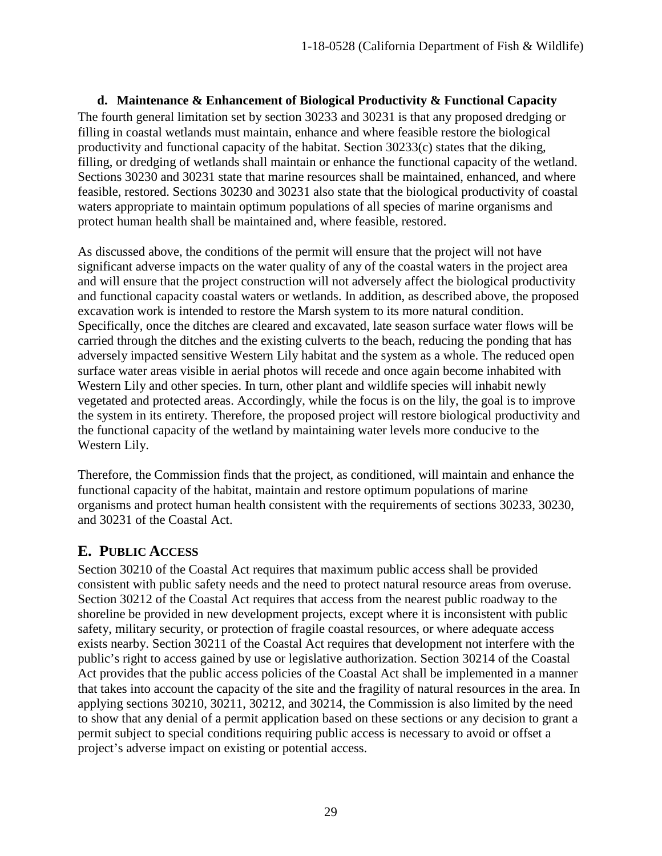**d. Maintenance & Enhancement of Biological Productivity & Functional Capacity**  The fourth general limitation set by section 30233 and 30231 is that any proposed dredging or filling in coastal wetlands must maintain, enhance and where feasible restore the biological productivity and functional capacity of the habitat. Section 30233(c) states that the diking, filling, or dredging of wetlands shall maintain or enhance the functional capacity of the wetland. Sections 30230 and 30231 state that marine resources shall be maintained, enhanced, and where feasible, restored. Sections 30230 and 30231 also state that the biological productivity of coastal waters appropriate to maintain optimum populations of all species of marine organisms and protect human health shall be maintained and, where feasible, restored.

As discussed above, the conditions of the permit will ensure that the project will not have significant adverse impacts on the water quality of any of the coastal waters in the project area and will ensure that the project construction will not adversely affect the biological productivity and functional capacity coastal waters or wetlands. In addition, as described above, the proposed excavation work is intended to restore the Marsh system to its more natural condition. Specifically, once the ditches are cleared and excavated, late season surface water flows will be carried through the ditches and the existing culverts to the beach, reducing the ponding that has adversely impacted sensitive Western Lily habitat and the system as a whole. The reduced open surface water areas visible in aerial photos will recede and once again become inhabited with Western Lily and other species. In turn, other plant and wildlife species will inhabit newly vegetated and protected areas. Accordingly, while the focus is on the lily, the goal is to improve the system in its entirety. Therefore, the proposed project will restore biological productivity and the functional capacity of the wetland by maintaining water levels more conducive to the Western Lily.

Therefore, the Commission finds that the project, as conditioned, will maintain and enhance the functional capacity of the habitat, maintain and restore optimum populations of marine organisms and protect human health consistent with the requirements of sections 30233, 30230, and 30231 of the Coastal Act.

# <span id="page-28-0"></span>**E. PUBLIC ACCESS**

Section 30210 of the Coastal Act requires that maximum public access shall be provided consistent with public safety needs and the need to protect natural resource areas from overuse. Section 30212 of the Coastal Act requires that access from the nearest public roadway to the shoreline be provided in new development projects, except where it is inconsistent with public safety, military security, or protection of fragile coastal resources, or where adequate access exists nearby. Section 30211 of the Coastal Act requires that development not interfere with the public's right to access gained by use or legislative authorization. Section 30214 of the Coastal Act provides that the public access policies of the Coastal Act shall be implemented in a manner that takes into account the capacity of the site and the fragility of natural resources in the area. In applying sections 30210, 30211, 30212, and 30214, the Commission is also limited by the need to show that any denial of a permit application based on these sections or any decision to grant a permit subject to special conditions requiring public access is necessary to avoid or offset a project's adverse impact on existing or potential access.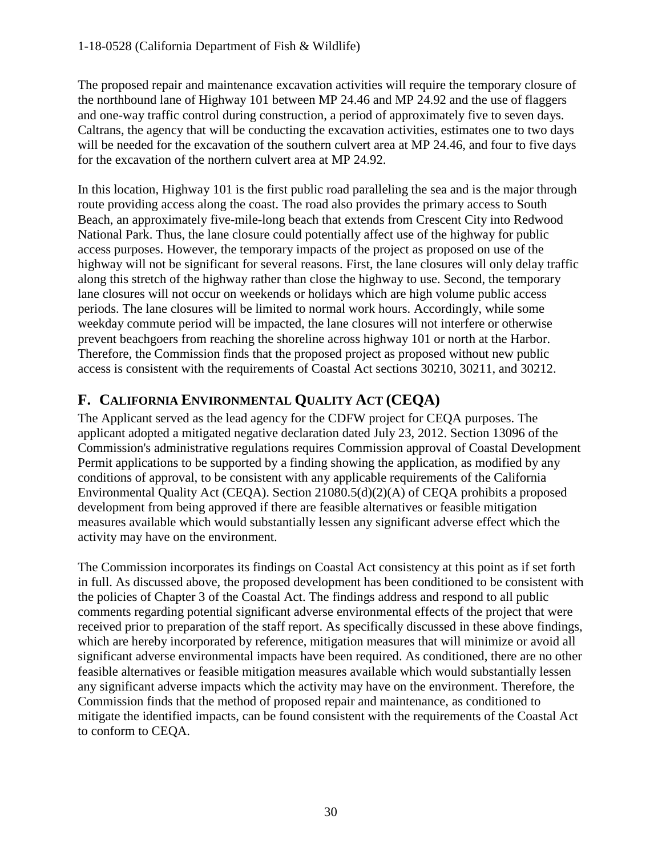The proposed repair and maintenance excavation activities will require the temporary closure of the northbound lane of Highway 101 between MP 24.46 and MP 24.92 and the use of flaggers and one-way traffic control during construction, a period of approximately five to seven days. Caltrans, the agency that will be conducting the excavation activities, estimates one to two days will be needed for the excavation of the southern culvert area at MP 24.46, and four to five days for the excavation of the northern culvert area at MP 24.92.

In this location, Highway 101 is the first public road paralleling the sea and is the major through route providing access along the coast. The road also provides the primary access to South Beach, an approximately five-mile-long beach that extends from Crescent City into Redwood National Park. Thus, the lane closure could potentially affect use of the highway for public access purposes. However, the temporary impacts of the project as proposed on use of the highway will not be significant for several reasons. First, the lane closures will only delay traffic along this stretch of the highway rather than close the highway to use. Second, the temporary lane closures will not occur on weekends or holidays which are high volume public access periods. The lane closures will be limited to normal work hours. Accordingly, while some weekday commute period will be impacted, the lane closures will not interfere or otherwise prevent beachgoers from reaching the shoreline across highway 101 or north at the Harbor. Therefore, the Commission finds that the proposed project as proposed without new public access is consistent with the requirements of Coastal Act sections 30210, 30211, and 30212.

# <span id="page-29-0"></span>**F. CALIFORNIA ENVIRONMENTAL QUALITY ACT (CEQA)**

The Applicant served as the lead agency for the CDFW project for CEQA purposes. The applicant adopted a mitigated negative declaration dated July 23, 2012. Section 13096 of the Commission's administrative regulations requires Commission approval of Coastal Development Permit applications to be supported by a finding showing the application, as modified by any conditions of approval, to be consistent with any applicable requirements of the California Environmental Quality Act (CEQA). Section 21080.5(d)(2)(A) of CEQA prohibits a proposed development from being approved if there are feasible alternatives or feasible mitigation measures available which would substantially lessen any significant adverse effect which the activity may have on the environment.

The Commission incorporates its findings on Coastal Act consistency at this point as if set forth in full. As discussed above, the proposed development has been conditioned to be consistent with the policies of Chapter 3 of the Coastal Act. The findings address and respond to all public comments regarding potential significant adverse environmental effects of the project that were received prior to preparation of the staff report. As specifically discussed in these above findings, which are hereby incorporated by reference, mitigation measures that will minimize or avoid all significant adverse environmental impacts have been required. As conditioned, there are no other feasible alternatives or feasible mitigation measures available which would substantially lessen any significant adverse impacts which the activity may have on the environment. Therefore, the Commission finds that the method of proposed repair and maintenance, as conditioned to mitigate the identified impacts, can be found consistent with the requirements of the Coastal Act to conform to CEQA.